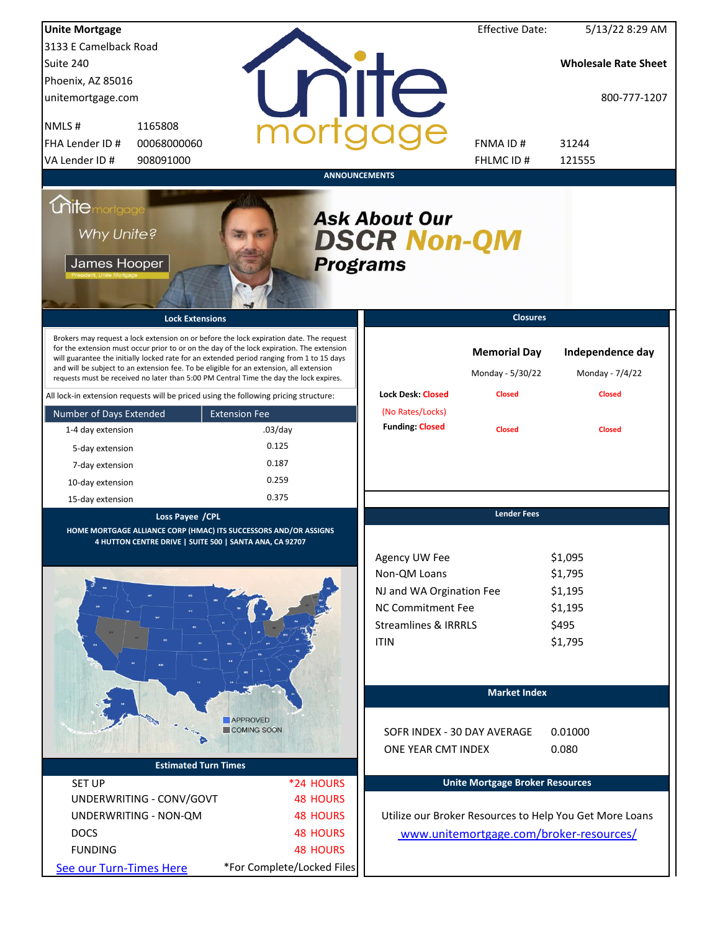| <b>Unite Mortgage</b>                                                                |                                                                                                                                                                                                                                                                                                                                                                                                                                                                        |                      |                            |                                                                                                                                         | <b>Effective Date:</b>                  | 5/13/22 8:29 AM                                              |
|--------------------------------------------------------------------------------------|------------------------------------------------------------------------------------------------------------------------------------------------------------------------------------------------------------------------------------------------------------------------------------------------------------------------------------------------------------------------------------------------------------------------------------------------------------------------|----------------------|----------------------------|-----------------------------------------------------------------------------------------------------------------------------------------|-----------------------------------------|--------------------------------------------------------------|
| 3133 E Camelback Road                                                                |                                                                                                                                                                                                                                                                                                                                                                                                                                                                        |                      |                            |                                                                                                                                         |                                         |                                                              |
| Suite 240                                                                            |                                                                                                                                                                                                                                                                                                                                                                                                                                                                        |                      |                            |                                                                                                                                         |                                         | <b>Wholesale Rate Sheet</b>                                  |
| Phoenix, AZ 85016                                                                    |                                                                                                                                                                                                                                                                                                                                                                                                                                                                        |                      |                            |                                                                                                                                         |                                         |                                                              |
| unitemortgage.com                                                                    |                                                                                                                                                                                                                                                                                                                                                                                                                                                                        |                      |                            | <b>ilTe</b>                                                                                                                             |                                         | 800-777-1207                                                 |
| NMLS#                                                                                | 1165808                                                                                                                                                                                                                                                                                                                                                                                                                                                                |                      |                            |                                                                                                                                         |                                         |                                                              |
| FHA Lender ID #                                                                      | 00068000060                                                                                                                                                                                                                                                                                                                                                                                                                                                            |                      |                            |                                                                                                                                         | FNMA ID#                                | 31244                                                        |
| VA Lender ID #                                                                       | 908091000                                                                                                                                                                                                                                                                                                                                                                                                                                                              |                      |                            |                                                                                                                                         | FHLMC ID#                               | 121555                                                       |
|                                                                                      |                                                                                                                                                                                                                                                                                                                                                                                                                                                                        |                      | <b>ANNOUNCEMENTS</b>       |                                                                                                                                         |                                         |                                                              |
| <i><b>Unitemortgage</b></i><br>Why Unite?<br>James Hooper                            |                                                                                                                                                                                                                                                                                                                                                                                                                                                                        |                      |                            | <b>Ask About Our</b><br><b>DSCR Non-QM</b><br><b>Programs</b>                                                                           |                                         |                                                              |
|                                                                                      | <b>Lock Extensions</b>                                                                                                                                                                                                                                                                                                                                                                                                                                                 |                      |                            |                                                                                                                                         | <b>Closures</b>                         |                                                              |
|                                                                                      | Brokers may request a lock extension on or before the lock expiration date. The request<br>for the extension must occur prior to or on the day of the lock expiration. The extension<br>will guarantee the initially locked rate for an extended period ranging from 1 to 15 days<br>and will be subject to an extension fee. To be eligible for an extension, all extension<br>requests must be received no later than 5:00 PM Central Time the day the lock expires. |                      |                            |                                                                                                                                         | <b>Memorial Day</b><br>Monday - 5/30/22 | Independence day<br>Monday - 7/4/22                          |
| All lock-in extension requests will be priced using the following pricing structure: |                                                                                                                                                                                                                                                                                                                                                                                                                                                                        |                      |                            | <b>Lock Desk: Closed</b>                                                                                                                | <b>Closed</b>                           | <b>Closed</b>                                                |
| Number of Days Extended                                                              |                                                                                                                                                                                                                                                                                                                                                                                                                                                                        | <b>Extension Fee</b> |                            | (No Rates/Locks)<br><b>Funding: Closed</b>                                                                                              |                                         |                                                              |
| 1-4 day extension                                                                    |                                                                                                                                                                                                                                                                                                                                                                                                                                                                        | $.03$ /day           |                            |                                                                                                                                         | <b>Closed</b>                           | <b>Closed</b>                                                |
| 5-day extension                                                                      |                                                                                                                                                                                                                                                                                                                                                                                                                                                                        | 0.125                |                            |                                                                                                                                         |                                         |                                                              |
| 7-day extension                                                                      |                                                                                                                                                                                                                                                                                                                                                                                                                                                                        | 0.187                |                            |                                                                                                                                         |                                         |                                                              |
| 10-day extension                                                                     |                                                                                                                                                                                                                                                                                                                                                                                                                                                                        | 0.259                |                            |                                                                                                                                         |                                         |                                                              |
| 15-day extension                                                                     |                                                                                                                                                                                                                                                                                                                                                                                                                                                                        | 0.375                |                            |                                                                                                                                         |                                         |                                                              |
|                                                                                      | Loss Payee / CPL<br>HOME MORTGAGE ALLIANCE CORP (HMAC) ITS SUCCESSORS AND/OR ASSIGNS<br>4 HUTTON CENTRE DRIVE   SUITE 500   SANTA ANA, CA 92707                                                                                                                                                                                                                                                                                                                        |                      |                            | Agency UW Fee<br>Non-QM Loans<br>NJ and WA Orgination Fee<br><b>NC Commitment Fee</b><br><b>Streamlines &amp; IRRRLS</b><br><b>ITIN</b> | <b>Lender Fees</b>                      | \$1,095<br>\$1,795<br>\$1,195<br>\$1,195<br>\$495<br>\$1,795 |
|                                                                                      |                                                                                                                                                                                                                                                                                                                                                                                                                                                                        |                      |                            |                                                                                                                                         | <b>Market Index</b>                     |                                                              |
|                                                                                      |                                                                                                                                                                                                                                                                                                                                                                                                                                                                        | <b>APPROVED</b>      |                            |                                                                                                                                         |                                         |                                                              |
|                                                                                      |                                                                                                                                                                                                                                                                                                                                                                                                                                                                        | COMING SOON          |                            | SOFR INDEX - 30 DAY AVERAGE                                                                                                             |                                         | 0.01000                                                      |
|                                                                                      |                                                                                                                                                                                                                                                                                                                                                                                                                                                                        |                      |                            | ONE YEAR CMT INDEX                                                                                                                      |                                         | 0.080                                                        |
|                                                                                      | <b>Estimated Turn Times</b>                                                                                                                                                                                                                                                                                                                                                                                                                                            |                      |                            |                                                                                                                                         |                                         |                                                              |
| <b>SET UP</b>                                                                        |                                                                                                                                                                                                                                                                                                                                                                                                                                                                        |                      | *24 HOURS                  |                                                                                                                                         | <b>Unite Mortgage Broker Resources</b>  |                                                              |
|                                                                                      | UNDERWRITING - CONV/GOVT                                                                                                                                                                                                                                                                                                                                                                                                                                               |                      | <b>48 HOURS</b>            |                                                                                                                                         |                                         |                                                              |
|                                                                                      | UNDERWRITING - NON-QM                                                                                                                                                                                                                                                                                                                                                                                                                                                  |                      | <b>48 HOURS</b>            |                                                                                                                                         |                                         | Utilize our Broker Resources to Help You Get More Loans      |
| <b>DOCS</b>                                                                          |                                                                                                                                                                                                                                                                                                                                                                                                                                                                        |                      | <b>48 HOURS</b>            |                                                                                                                                         |                                         | www.unitemortgage.com/broker-resources/                      |
| <b>FUNDING</b>                                                                       |                                                                                                                                                                                                                                                                                                                                                                                                                                                                        |                      | <b>48 HOURS</b>            |                                                                                                                                         |                                         |                                                              |
| See our Turn-Times Here                                                              |                                                                                                                                                                                                                                                                                                                                                                                                                                                                        |                      | *For Complete/Locked Files |                                                                                                                                         |                                         |                                                              |
|                                                                                      |                                                                                                                                                                                                                                                                                                                                                                                                                                                                        |                      |                            |                                                                                                                                         |                                         |                                                              |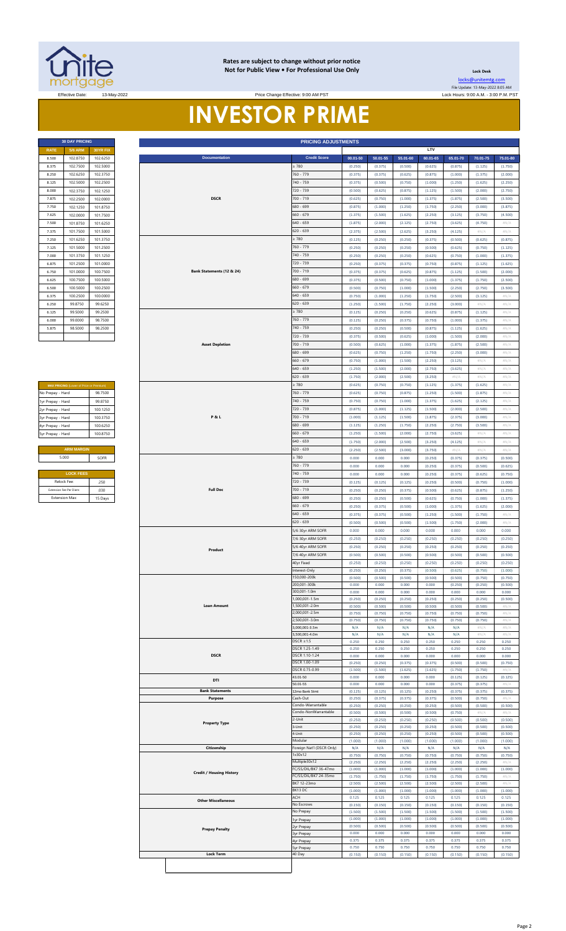

#### **Rates are subject to change without prior notice Not for Public View • For Professional Use Only <b>Leading Community** Lock Desk

Price Change Effective: 9:00 AM PST

[locks@unitemtg](mailto:locks@unitemtg.com).com File Update: 13-May-2022 8:05 AM Effective Date: 13-May-2022 Lock Hours: 9:00 A.M. - 3:00 P.M. PST

# **INVESTOR PRIME**

| <b>30 DAY PRICING</b> |                |          |  |  |  |  |  |  |
|-----------------------|----------------|----------|--|--|--|--|--|--|
| <b>RATE</b>           | <b>5/6 ARM</b> | 30YR FIX |  |  |  |  |  |  |
| 8.500                 | 102.8750       | 102.6250 |  |  |  |  |  |  |
| 8.375                 | 102.7500       | 102.5000 |  |  |  |  |  |  |
| 8.250                 | 102.6250       | 102.3750 |  |  |  |  |  |  |
| 8.125                 | 102.5000       | 102.2500 |  |  |  |  |  |  |
| 8.000                 | 102.3750       | 102.1250 |  |  |  |  |  |  |
| 7.875                 | 102.2500       | 102.0000 |  |  |  |  |  |  |
| 7.750                 | 102.1250       | 101.8750 |  |  |  |  |  |  |
| 7.625                 | 102.0000       | 101.7500 |  |  |  |  |  |  |
| 7.500                 | 101.8750       | 101.6250 |  |  |  |  |  |  |
| 7.375                 | 101.7500       | 101.5000 |  |  |  |  |  |  |
| 7.250                 | 101.6250       | 101.3750 |  |  |  |  |  |  |
| 7.125                 | 101.5000       | 101.2500 |  |  |  |  |  |  |
| 7.000                 | 101.3750       | 101.1250 |  |  |  |  |  |  |
| 6.875                 | 101.2500       | 101.0000 |  |  |  |  |  |  |
| 6.750                 | 101.0000       | 100.7500 |  |  |  |  |  |  |
| 6.625                 | 100.7500       | 100.5000 |  |  |  |  |  |  |
| 6.500                 | 100.5000       | 100.2500 |  |  |  |  |  |  |
| 6.375                 | 100.2500       | 100.0000 |  |  |  |  |  |  |
| 6.250                 | 99.8750        | 99.6250  |  |  |  |  |  |  |
| 6.125                 | 99.5000        | 99.2500  |  |  |  |  |  |  |
| 6.000                 | 99.0000        | 98.7500  |  |  |  |  |  |  |
| 5.875                 | 98.5000        | 98.2500  |  |  |  |  |  |  |
|                       |                |          |  |  |  |  |  |  |

| <b>MAX PRICING (Lower of Price or Premium)</b> |          |  |  |  |  |  |  |  |
|------------------------------------------------|----------|--|--|--|--|--|--|--|
| No Prepay - Hard                               | 98 7500  |  |  |  |  |  |  |  |
| 1yr Prepay - Hard                              | 99 8750  |  |  |  |  |  |  |  |
| 2yr Prepay - Hard                              | 100 1250 |  |  |  |  |  |  |  |
| 3yr Prepay - Hard                              | 100.3750 |  |  |  |  |  |  |  |
| 4yr Prepay - Hard                              | 100.6250 |  |  |  |  |  |  |  |
| 5yr Prepay - Hard                              | 100.8750 |  |  |  |  |  |  |  |
|                                                |          |  |  |  |  |  |  |  |
| <b>ARM MARGIN</b>                              |          |  |  |  |  |  |  |  |
| 5.000                                          | SOFR     |  |  |  |  |  |  |  |
|                                                |          |  |  |  |  |  |  |  |
| <b>LOCK FEES</b>                               |          |  |  |  |  |  |  |  |
| Relock Fee:                                    | 250      |  |  |  |  |  |  |  |
| Extension Fee Per Diem:                        | 030      |  |  |  |  |  |  |  |

| <b>30 DAY PRICING</b>                                                                                        |                                         |                                 |                 |                            |                                                | <b>PRICING ADJUSTMENTS</b>                |                    |                    |                    |                    |                    |                    |                      |
|--------------------------------------------------------------------------------------------------------------|-----------------------------------------|---------------------------------|-----------------|----------------------------|------------------------------------------------|-------------------------------------------|--------------------|--------------------|--------------------|--------------------|--------------------|--------------------|----------------------|
| <b>RATE</b><br>8.500                                                                                         | <b>5/6 ARM</b><br>102.8750              | 30YR FIX<br>102.6250            |                 | <b>Documentation</b>       |                                                | <b>Credit Score</b>                       | $00.01 - 50$       | $50.01 - 55$       | 55.01-60           | LTV<br>60.01-65    | 65.01-70           | 70.01-75           | 75.01-80             |
| 8.375                                                                                                        | 102.7500                                | 102.5000                        |                 |                            |                                                | : 780                                     | (0.250)            | (0.375)            | (0.500)            | (0.625)            | (0.875)            | (1.125)            | (1.750)              |
| 8.250<br>8.125                                                                                               | 102.6250<br>102.5000                    | 102.3750<br>102.2500            |                 |                            |                                                | 760 - 779<br>740 - 759                    | (0.375)<br>(0.375) | (0.375)<br>(0.500) | (0.625)<br>(0.750) | (0.875)<br>(1.000) | (1.000)<br>(1.250) | (1.375)<br>(1.625) | (2.000)              |
| 8.000                                                                                                        | 102.3750                                | 102.1250                        |                 |                            |                                                | 720 - 739                                 | (0.500)            | (0.625)            | (0.875)            | (1.125)            | (1.500)            | (2.000)            | (2.250)<br>(2.750)   |
| 7.875                                                                                                        | 102.2500                                | 102.0000                        |                 | <b>DSCR</b>                |                                                | 700 - 719                                 | (0.625)            | (0.750)            | (1.000)            | (1.375)            | (1.875)            | (2.500)            | (3.500)              |
| 7.750                                                                                                        | 102.1250                                | 101.8750                        |                 |                            |                                                | 680 - 699                                 | (0.875)            | (1.000)            | (1.250)            | (1.750)            | (2.250)            | (3.000)            | (3.875)              |
| 7.625<br>7.500                                                                                               | 102.0000<br>101.8750                    | 101.7500<br>101.6250            |                 |                            | $660 - 679$<br>$640 - 659$                     | (1.375)<br>(1.875)                        | (1.500)<br>(2.000) | (1.625)<br>(2.125) | (2.250)<br>(2.750) | (3.125)<br>(3.625) | (3.750)<br>(4.750) | (4.500)<br>#N/A    |                      |
| 7.375                                                                                                        | 101.7500                                | 101.5000                        |                 |                            | $620 - 639$                                    | (2.375)                                   | (2.500)            | (2.625)            | (3.250)            | (4.125)            | #N/A               | $\#N/A$            |                      |
| 7.250                                                                                                        | 101.6250                                | 101.3750                        |                 |                            |                                                | 780                                       | (0.125)            | (0.250)            | (0.250)            | (0.375)            | (0.500)            | (0.625)            | (0.875)              |
| 7.125                                                                                                        | 101.5000                                | 101.2500                        |                 | Bank Statements (12 & 24)  |                                                | 760 - 779<br>740 - 759                    | (0.250)            | (0.250)            | (0.250)            | (0.500)            | (0.625)            | (0.750)            | (1.125)              |
| 7.000<br>6.875                                                                                               | 101.3750<br>101.2500                    | 101.1250<br>101.0000            |                 |                            |                                                | 720 - 739                                 | (0.250)<br>(0.250) | (0.250)<br>(0.375) | (0.250)<br>(0.375) | (0.625)<br>(0.750) | (0.750)<br>(0.875) | (1.000)<br>(1.125) | (1.375)<br>(1.625)   |
| 6.750                                                                                                        | 101.0000                                | 100.7500                        |                 |                            |                                                | 700 - 719                                 | (0.375)            | (0.375)            | (0.625)            | (0.875)            | (1.125)            | (1.500)            | (2.000)              |
| 6.625                                                                                                        | 100.7500                                | 100.5000                        |                 |                            |                                                | 680 - 699<br>$660 - 679$                  | (0.375)            | (0.500)            | (0.750)            | (1.000)            | (1.375)            | (1.750)            | (2.500)              |
| 6.500<br>6.375                                                                                               | 100.5000<br>100.2500                    | 100.2500<br>100.0000            |                 |                            | 640 - 659<br>$620 - 639$                       |                                           | (0.500)<br>(0.750) | (0.750)<br>(1.000) | (1.000)<br>(1.250) | (1.500)<br>(1.750) | (2.250)<br>(2.500) | (2.750)<br>(3.125) | (3.500)<br>#N/ $\mu$ |
| 6.250                                                                                                        | 99.8750                                 | 99.6250                         |                 |                            |                                                |                                           | (1.250)            | (1.500)            | (1.750)            | (2.250)            | (3.000)            | #N/A               | $\#N/A$              |
| 6.125                                                                                                        | 99.5000                                 | 99.2500                         |                 |                            |                                                | $\geq 780$                                | (0.125)            | (0.250)            | (0.250)            | (0.625)            | (0.875)            | (1.125)            | $\#N/A$              |
| 6.000                                                                                                        | 99.0000                                 | 98.7500                         |                 |                            |                                                | 760 - 779<br>740 - 759                    | (0.125)            | (0.250)            | (0.375)            | (0.750)            | (1.000)            | (1.375)            | #N/A                 |
| 5.875                                                                                                        | 98.5000                                 | 98.2500                         |                 |                            |                                                | 720 - 739                                 | (0.250)<br>(0.375) | (0.250)<br>(0.500) | (0.500)<br>(0.625) | (0.875)<br>(1.000) | (1.125)<br>(1.500) | (1.625)<br>(2.000) | $\#N/A$<br>$\#N/A$   |
|                                                                                                              |                                         |                                 |                 | <b>Asset Depletion</b>     |                                                | 700 - 719                                 | (0.500)            | (0.625)            | (1.000)            | (1.375)            | (1.875)            | (2.500)            | $\#N/A$              |
|                                                                                                              |                                         |                                 |                 |                            |                                                | 680 - 699                                 | (0.625)            | (0.750)            | (1.250)            | (1.750)            | (2.250)            | (3.000)            | $\#N/A$              |
|                                                                                                              |                                         |                                 |                 |                            |                                                | $660 - 679$<br>$640 - 659$                | (0.750)<br>(1.250) | (1.000)<br>(1.500) | (1.500)<br>(2.000) | (2.250)<br>(2.750) | (3.125)<br>(3.625) | #N/A<br>#N/A       | #N/A<br>#N/A         |
|                                                                                                              |                                         |                                 |                 |                            |                                                | 620 - 639                                 | (1.750)            | (2.000)            | (2.500)            | (3.250)            | #N/A               | #N/A               | #N/A                 |
|                                                                                                              | MAX PRICING (Lower of Price or Premium) |                                 |                 |                            |                                                | : 780                                     | (0.625)            | (0.750)            | (0.750)            | (1.125)            | (1.375)            | (1.625)            | #N/A                 |
| No Prepay - Hard                                                                                             |                                         | 98.7500                         |                 |                            |                                                | 760 - 779                                 | (0.625)            | (0.750)            | (0.875)            | (1.250)            | (1.500)            | (1.875)            | #N/A                 |
| 1yr Prepay - Hard<br>2yr Prepay - Hard                                                                       |                                         | 99.8750<br>100.1250             |                 |                            |                                                | 740 - 759<br>720 - 739                    | (0.750)<br>(0.875) | (0.750)<br>(1.000) | (1.000)<br>(1.125) | (1.375)<br>(1.500) | (1.625)<br>(2.000) | (2.125)<br>(2.500) | $\#N/A$<br>$\#N/A$   |
| 3yr Prepay - Hard                                                                                            |                                         | 100.3750                        |                 | <b>P&amp;L</b>             |                                                | 700 - 719                                 | (1.000)            | (1.125)            | (1.500)            | (1.875)            | (2.375)            | (3.000)            | #N/A                 |
| 4yr Prepay - Hard                                                                                            |                                         | 100.6250                        |                 |                            |                                                | 680 - 699                                 | (1.125)            | (1.250)            | (1.750)            | (2.250)            | (2.750)            | (3.500)            | #N/A                 |
| 5yr Prepay - Hard                                                                                            |                                         | 100.8750                        |                 |                            |                                                | $660 - 679$                               | (1.250)            | (1.500)            | (2.000)            | (2.750)            | (3.625)            | #N/A               | $\#N/A$              |
|                                                                                                              | <b>ARM MARGIN</b>                       |                                 |                 |                            |                                                | 640 - 659<br>620 - 639                    | (1.750)<br>(2.250) | (2.000)<br>(2.500) | (2.500)<br>(3.000) | (3.250)<br>(3.750) | (4.125)<br>$\#N/A$ | #N/A<br>#N/A       | $\#N/F$<br>$\#N/A$   |
|                                                                                                              | 5.000                                   | SOFR                            |                 |                            |                                                | $\geq 780$                                | 0.000              | 0.000              | 0.000              | (0.250)            | (0.375)            | (0.375)            | (0.500)              |
|                                                                                                              |                                         |                                 |                 |                            |                                                | 760 - 779                                 | 0.000              | 0.000              | 0.000              | (0.250)            | (0.375)            | (0.500)            | (0.625)              |
| <b>LOCK FEES</b><br>Relock Fee:<br>.250<br>Extension Fee Per Diem<br>.030<br><b>Extension Max</b><br>15 Days |                                         |                                 |                 |                            | 740 - 759<br>720 - 739                         | 0.000<br>(0.125)                          | 0.000<br>(0.125)   | 0.000<br>(0.125)   | (0.250)<br>(0.250) | (0.375)<br>(0.500) | (0.625)<br>(0.750) | (0.750)<br>(1.000) |                      |
|                                                                                                              |                                         |                                 | <b>Full Doc</b> |                            | 700 - 719                                      | (0.250)                                   | (0.250)            | (0.375)            | (0.500)            | (0.625)            | (0.875)            | (1.250)            |                      |
|                                                                                                              |                                         |                                 |                 |                            | 680 - 699                                      | (0.250)                                   | (0.250)            | (0.500)            | (0.625)            | (0.750)            | (1.000)            | (1.375)            |                      |
|                                                                                                              |                                         |                                 |                 |                            |                                                | $660 - 679$<br>$640 - 659$                | (0.250)            | (0.375)            | (0.500)            | (1.000)            | (1.375)            | (1.625)            | (2.000)              |
|                                                                                                              |                                         |                                 |                 |                            |                                                | 620 - 639                                 | (0.375)<br>(0.500) | (0.375)<br>(0.500) | (0.500)<br>(0.500) | (1.250)<br>(1.500) | (1.500)<br>(1.750) | (1.750)<br>(2.000) | $\#N/A$<br>#N/A      |
|                                                                                                              |                                         |                                 |                 |                            |                                                | 5/6 30yr ARM SOFR                         | 0.000              | 0.000              | 0.000              | 0.000              | 0.000              | 0.000              | 0.000                |
|                                                                                                              |                                         |                                 |                 |                            |                                                | 7/6 30yr ARM SOFR                         | (0.250)            | (0.250)            | (0.250)            | (0.250)            | (0.250)            | (0.250)            | (0.250)              |
|                                                                                                              |                                         |                                 |                 | Product                    |                                                | 5/6 40yr ARM SOFR<br>7/6 40yr ARM SOFR    | (0.250)<br>(0.500) | (0.250)<br>(0.500) | (0.250)<br>(0.500) | (0.250)<br>(0.500) | (0.250)<br>(0.500) | (0.250)<br>(0.500) | (0.250)<br>(0.500)   |
|                                                                                                              |                                         |                                 |                 |                            |                                                | 40yr Fixed                                | (0.250)            | (0.250)            | (0.250)            | (0.250)            | (0.250)            | (0.250)            | (0.250)              |
|                                                                                                              |                                         |                                 |                 |                            |                                                | Interest-Only                             | (0.250)            | (0.250)            | (0.375)            | (0.500)            | (0.625)            | (0.750)            | (1.000)              |
|                                                                                                              |                                         |                                 |                 |                            |                                                | 150,000-200k<br>200,001-300k              | (0.500)<br>0.000   | (0.500)<br>0.000   | (0.500)<br>0.000   | (0.500)<br>0.000   | (0.500)<br>(0.250) | (0.750)<br>(0.250) | (0.750)<br>(0.500)   |
|                                                                                                              |                                         |                                 |                 |                            |                                                | 300,001-1.0m                              | 0.000              | 0.000              | 0.000              | 0.000              | 0.000              | 0.000              | 0.000                |
|                                                                                                              |                                         |                                 |                 | <b>Loan Amount</b>         |                                                | ,000,001-1.5m<br>,500,001-2.0m            | (0.250)<br>(0.500) | (0.250)<br>(0.500) | (0.250)<br>(0.500) | (0.250)<br>(0.500) | (0.250)<br>(0.500) | (0.250)<br>(0.500) | (0.500)<br>#N//      |
|                                                                                                              |                                         |                                 |                 |                            |                                                | 000,001-2.5m                              | (0.750)            | (0.750)            | (0.750)            | (0.750)            | (0.750)            | (0.750)            | #N/A                 |
|                                                                                                              |                                         |                                 |                 |                            |                                                | 2,500,001-3.0m<br>,000,001-3.5m           | (0.750)<br>N/A     | (0.750)<br>N/A     | (0.750)<br>N/A     | (0.750)<br>N/A     | (0.750)<br>N/A     | (0.750)<br>#N/A    | #N//<br>#N/A         |
|                                                                                                              |                                         |                                 |                 |                            |                                                | ,500,001-4.0m                             | N/A                | N/A                | N/A                | N/A                | N/A                | #N/A               | #N/A                 |
|                                                                                                              |                                         |                                 |                 |                            |                                                | $DSCR \ge 1.5$<br>DSCR 1.25-1.49          | 0.250<br>0.250     | 0.250<br>0.250     | 0.250<br>0.250     | 0.250<br>0.250     | 0.250<br>0.250     | 0.250<br>0.250     | 0.250<br>0.250       |
|                                                                                                              |                                         |                                 |                 | <b>DSCR</b>                |                                                | DSCR 1.10-1.24                            | 0.000              | 0.000              | 0.000              | 0.000              | 0.000              | 0.000              | 0.000                |
|                                                                                                              |                                         |                                 |                 |                            |                                                | DSCR 1.00-1.09<br>DSCR 0.75-0.99          | (0.250)<br>(1.500) | (0.250)<br>(1.500) | (0.375)<br>(1.625) | (0.375)<br>(1.625) | (0.500)<br>(1.750) | (0.500)<br>(1.750) | (0.750)<br>#N/       |
|                                                                                                              |                                         |                                 |                 | DTI                        |                                                | 43.01-50                                  | 0.000              | 0.000              | 0.000              | 0.000              | (0.125)            | (0.125)            | (0.125)              |
|                                                                                                              |                                         |                                 |                 | <b>Bank Statements</b>     |                                                | 50.01-55<br>12mo Bank Stmt                | 0.000<br>(0.125)   | 0.000<br>(0.125)   | 0.000<br>(0.125)   | 0.000<br>(0.250)   | (0.375)<br>(0.375) | (0.375)<br>(0.375) | #N/A<br>(0.375)      |
|                                                                                                              |                                         |                                 |                 | Purpose                    |                                                | ash-Out                                   | (0.250)            | (0.375)            | (0.375)            | (0.375)            | (0.500)            | (0.750)            | #N//                 |
|                                                                                                              |                                         |                                 |                 |                            |                                                | Condo-Warrantable<br>Condo-NonWarrantable | (0.250)<br>(0.500) | (0.250)<br>(0.500) | (0.250)<br>(0.500) | (0.250)<br>(0.500) | (0.500)<br>(0.750) | (0.500)<br>#N/A    | (0.500)<br>#N//      |
|                                                                                                              |                                         |                                 |                 | <b>Property Type</b>       |                                                | 2-Unit                                    | (0.250)            | (0.250)            | (0.250)            | (0.250)            | (0.500)            | (0.500)            | (0.500)              |
|                                                                                                              |                                         |                                 |                 |                            |                                                | 3-Unit<br>4-Unit                          | (0.250)<br>(0.250) | (0.250)<br>(0.250) | (0.250)<br>(0.250) | (0.250)<br>(0.250) | (0.500)<br>(0.500) | (0.500)<br>(0.500) | (0.500)<br>(0.500)   |
|                                                                                                              |                                         |                                 |                 |                            |                                                | Modular                                   | (1.000)            | (1.000)            | (1.000)            | (1.000)            | (1.000)            | (1.000)            | (1.000)              |
|                                                                                                              |                                         |                                 |                 | Citizenship                |                                                | Foreign Nat'l (DSCR Only)<br>1x30x12      | N/A<br>(0.750)     | N/A<br>(0.750)     | N/A<br>(0.750)     | N/A<br>(0.750)     | N/A<br>(0.750)     | N/A<br>(0.750)     | N/A<br>(0.750)       |
|                                                                                                              |                                         |                                 |                 |                            |                                                | Multiple30x12                             | (2.250)            | (2.250)            | (2.250)            | (2.250)            | (2.250)            | (2.250)            | $#N$ /               |
|                                                                                                              |                                         | <b>Credit / Housing History</b> |                 |                            | FC/SS/DIL/BK7 36-47mo<br>FC/SS/DIL/BK7 24-35mo | (1.000)                                   | (1.000)            | (1.000)            | (1.000)            | (1.000)            | (1.000)            | (1.000)            |                      |
|                                                                                                              |                                         |                                 |                 | BK7 12-23mo                | (1.750)<br>(2.500)                             | (1.750)<br>(2.500)                        | (1.750)<br>(2.500) | (1.750)<br>(2.500) | (1.750)<br>(2.500) | (1.750)<br>(2.500) | #N/A<br>#N/        |                    |                      |
|                                                                                                              |                                         |                                 |                 |                            |                                                | BK13 DC<br>ACH                            | (1.000)            | (1.000)            | (1.000)            | (1.000)            | (1.000)            | (1.000)            | (1.000)              |
|                                                                                                              |                                         |                                 |                 | <b>Other Miscellaneous</b> |                                                | No Escrows                                | 0.125<br>(0.150)   | 0.125<br>(0.150)   | 0.125<br>(0.150)   | 0.125<br>(0.150)   | 0.125<br>(0.150)   | 0.125<br>(0.150)   | 0.125<br>(0.150)     |
|                                                                                                              |                                         |                                 |                 |                            |                                                | No Prepay                                 | (1.500)            | (1.500)            | (1.500)            | (1.500)            | (1.500)            | (1.500)            | (1.500)              |
|                                                                                                              |                                         |                                 |                 |                            |                                                | yr Prepay<br>yr Prepay                    | (1.000)<br>(0.500) | (1.000)<br>(0.500) | (1.000)<br>(0.500) | (1.000)<br>(0.500) | (1.000)<br>(0.500) | (1.000)<br>(0.500) | (1.000)<br>(0.500)   |
|                                                                                                              |                                         |                                 |                 | <b>Prepay Penalty</b>      |                                                | yr Prepay                                 | 0.000              | 0.000              | 0.000              | 0.000              | 0.000              | 0.000              | 0.000                |
|                                                                                                              |                                         |                                 |                 |                            |                                                | 4yr Prepay<br>syr Prepay                  | 0.375<br>0.750     | 0.375<br>0.750     | 0.375<br>0.750     | 0.375<br>0.750     | 0.375<br>0.750     | 0.375<br>0.750     | 0.375<br>0.750       |
|                                                                                                              |                                         |                                 |                 | <b>Lock Term</b>           |                                                | 40 Day                                    | (0.150)            | (0.150)            | (0.150)            | (0.150)            | (0.150)            | (0.150)            | (0.150)              |
|                                                                                                              |                                         |                                 |                 |                            |                                                |                                           |                    |                    |                    |                    |                    |                    |                      |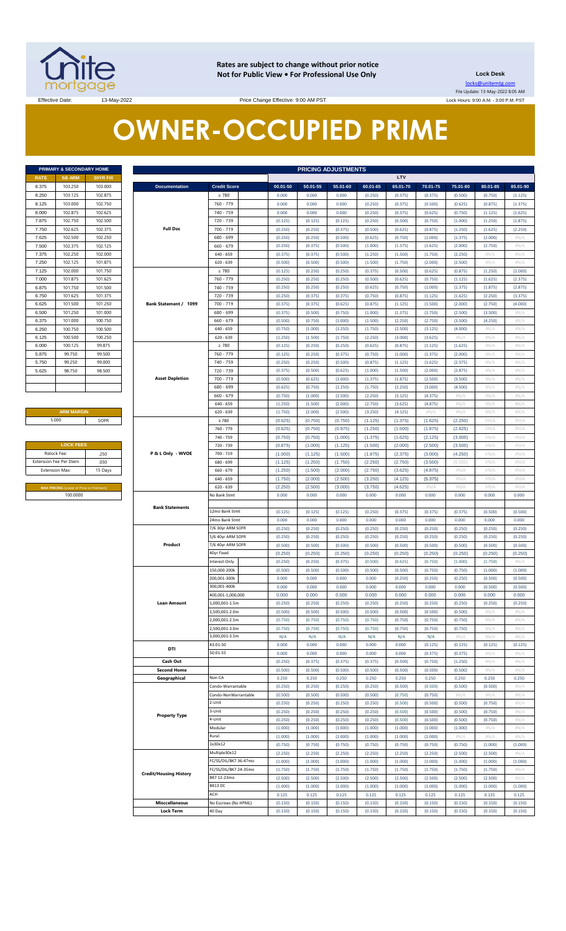

**Rates are subject to change without prior notice Not for Public View • For Professional Use Only Lock Desk**

locks@unitemtg.com File Update: 13-May-2022 8:05 AM Lock Hours: 9:00 A.M. - 3:00 P.M. PST

Effective Date: 13-May-2022 13-May-2022 Price Change Effective: 9:00 AM PST

# **OWNER-OCCUPIED PRIME**

| <b>PRIMARY &amp; SECONDARY HOME</b> |                |                 |  |  |  |  |  |  |
|-------------------------------------|----------------|-----------------|--|--|--|--|--|--|
| <b>RATE</b>                         | <b>5/6 ARM</b> | <b>30YR FIX</b> |  |  |  |  |  |  |
| 8.375                               | 103.250        | 103,000         |  |  |  |  |  |  |
| 8.250                               | 103.125        | 102.875         |  |  |  |  |  |  |
| 8.125                               | 103,000        | 102.750         |  |  |  |  |  |  |
| 8.000                               | 102.875        | 102.625         |  |  |  |  |  |  |
| 7.875                               | 102.750        | 102.500         |  |  |  |  |  |  |
| 7.750                               | 102.625        | 102.375         |  |  |  |  |  |  |
| 7.625                               | 102.500        | 102.250         |  |  |  |  |  |  |
| 7.500                               | 102.375        | 102.125         |  |  |  |  |  |  |
| 7.375                               | 102.250        | 102.000         |  |  |  |  |  |  |
| 7.250                               | 102.125        | 101.875         |  |  |  |  |  |  |
| 7.125                               | 102.000        | 101.750         |  |  |  |  |  |  |
| 7.000                               | 101.875        | 101.625         |  |  |  |  |  |  |
| 6.875                               | 101.750        | 101.500         |  |  |  |  |  |  |
| 6.750                               | 101.625        | 101.375         |  |  |  |  |  |  |
| 6.625                               | 101.500        | 101.250         |  |  |  |  |  |  |
| 6.500                               | 101.250        | 101.000         |  |  |  |  |  |  |
| 6.375                               | 101.000        | 100.750         |  |  |  |  |  |  |
| 6.250                               | 100.750        | 100.500         |  |  |  |  |  |  |
| 6.125                               | 100.500        | 100.250         |  |  |  |  |  |  |
| 6.000                               | 100.125        | 99.875          |  |  |  |  |  |  |
| 5.875                               | 99.750         | 99.500          |  |  |  |  |  |  |
| 5.750                               | 99.250         | 99.000          |  |  |  |  |  |  |
| 5.625                               | 98.750         | 98.500          |  |  |  |  |  |  |
|                                     |                |                 |  |  |  |  |  |  |
|                                     |                |                 |  |  |  |  |  |  |

## **ARM MARGIN** 5.000

| <b>LOCK FEES</b>                               |      |  |  |  |  |  |  |
|------------------------------------------------|------|--|--|--|--|--|--|
| Relock Fee:                                    | .250 |  |  |  |  |  |  |
| <b>Extension Fee Per Diem</b>                  | .030 |  |  |  |  |  |  |
| <b>Extension Max:</b><br>15 Days               |      |  |  |  |  |  |  |
|                                                |      |  |  |  |  |  |  |
| <b>MAX PRICING (Lower of Price or Premium)</b> |      |  |  |  |  |  |  |
| 100,0000                                       |      |  |  |  |  |  |  |

| LTV<br>RATE<br><b>5/6 ARM</b><br>30YR FIX<br>103.250<br>103.000<br><b>Documentation</b><br><b>Credit Score</b><br>00.01-50<br>50.01-55<br>55.01-60<br>60.01-65<br>65.01-70<br>70.01-75<br>103.125<br>102.875<br>$\geq 780$<br>0.000<br>0.000<br>0.000<br>(0.250)<br>(0.375)<br>(0.375)<br>760 - 779<br>103.000<br>102.750<br>0.000<br>0.000<br>0.000<br>(0.250)<br>(0.375)<br>(0.500)<br>102.875<br>102.625<br>740 - 759<br>0.000<br>0.000<br>0.000<br>(0.250)<br>(0.375)<br>(0.625)<br>102.750<br>102.500<br>720 - 739<br>(0.125)<br>(0.125)<br>(0.125)<br>(0.250)<br>(0.500)<br>(0.750)<br><b>Full Doc</b><br>102.625<br>102.375<br>700 - 719<br>(0.250)<br>(0.250)<br>(0.375)<br>(0.500)<br>(0.625)<br>(0.875)<br>102.500<br>102.250<br>680 - 699<br>(0.250)<br>(0.250)<br>(0.500)<br>(0.625)<br>(0.750)<br>(1.000)<br>102.375<br>102.125<br>$660 - 679$<br>(0.250)<br>(0.375)<br>(0.500)<br>(1.000)<br>(1.375)<br>(1.625)<br>102.250<br>102.000<br>$640 - 659$<br>(0.375)<br>(0.375)<br>(0.500)<br>(1.250)<br>(1.500)<br>(1.750)<br>102.125<br>101.875<br>$620 - 639$<br>(0.500)<br>(0.500)<br>(0.500)<br>(1.500)<br>(1.750)<br>(2.000)<br>102.000<br>101.750<br>$\geq 780$<br>(0.125)<br>(0.250)<br>(0.250)<br>(0.375)<br>(0.500)<br>(0.625)<br>101.875<br>101.625<br>760 - 779<br>(0.250)<br>(0.250)<br>(0.250)<br>(0.500)<br>(0.625)<br>(0.750)<br>101.750<br>740 - 759<br>101.500<br>(0.250)<br>(0.250)<br>(0.250)<br>(0.625)<br>(0.750)<br>(1.000)<br>101.625<br>101.375<br>720 - 739<br>(0.250)<br>(0.375)<br>(0.375)<br>(0.750)<br>(0.875)<br>(1.125)<br>101.500<br>101.250<br>Bank Statement / 1099<br>700 - 719<br>(0.375)<br>(0.375)<br>(0.625)<br>(0.875)<br>(1.125)<br>(1.500)<br>101.250<br>101.000<br>680 - 699<br>(0.375)<br>(0.500)<br>(0.750)<br>(1.000)<br>(1.375)<br>(1.750)<br>101.000<br>100.750<br>$660 - 679$<br>(0.500)<br>(0.750)<br>(1.000)<br>(1.500)<br>(2.250)<br>(2.750)<br>100.750<br>100.500<br>$640 - 659$<br>(0.750)<br>(1.000)<br>(1.250)<br>(1.750)<br>(2.500)<br>(3.125)<br>100.500<br>100.250<br>$620 - 639$<br>(1.250)<br>(1.500)<br>(1.750)<br>(2.250)<br>(3.000)<br>(3.625)<br>100.125<br>99.875<br>$\geq 780$<br>(0.125)<br>(0.250)<br>(0.250)<br>(0.625)<br>(0.875)<br>(1.125)<br>99.750<br>99.500<br>760 - 779<br>(0.125)<br>(0.250)<br>(0.375)<br>(0.750)<br>(1.000)<br>(1.375)<br>99.250<br>99.000<br>740 - 759<br>(0.250)<br>(0.250)<br>(0.500)<br>(0.875)<br>(1.125)<br>(1.625)<br>98.750<br>98.500<br>720 - 739<br>(0.375)<br>(0.500)<br>(0.625)<br>(1.000)<br>(1.500)<br>(2.000)<br><b>Asset Depletion</b><br>700 - 719<br>(0.500)<br>(0.625)<br>(1.000)<br>(1.375)<br>(1.875)<br>(2.500)<br>680 - 699<br>(0.625)<br>(0.750)<br>(1.250)<br>(1.750)<br>(2.250)<br>(3.000)<br>$660 - 679$<br>(0.750)<br>(1.000)<br>(1.500)<br>(2.250)<br>(3.125)<br>(4.375)<br>$640 - 659$<br>(1.250)<br>(1.500)<br>(2.000)<br>(2.750)<br>(3.625)<br>(4.875)<br><b>ARM MARGIN</b><br>$620 - 639$<br>(1.750)<br>(2.000)<br>(2.500)<br>(3.250)<br>(4.125)<br>$\#N/A$<br>5.000<br>SOFR<br>$\geq 780$<br>(0.625)<br>(0.750)<br>(0.750)<br>(1.125)<br>(1.375)<br>(1.625)<br>(0.625)<br>(0.750)<br>(0.875)<br>760 - 779<br>(1.250)<br>(1.500)<br>(1.875)<br>740 - 759<br>(0.750)<br>(0.750)<br>(1.000)<br>(1.375)<br>(1.625)<br>(2.125)<br><b>LOCK FEES</b><br>(1.000)<br>720 - 739<br>(0.875)<br>(1.125)<br>(1.500)<br>(2.000)<br>(2.500)<br>Relock Fee:<br>.250<br>P & L Only - WVOE<br>700 - 719<br>(1.000)<br>(1.125)<br>(1.500)<br>(1.875)<br>(2.375)<br>(3.000)<br>.030<br>(1.250)<br>(1.750)<br>(2.750)<br>680 - 699<br>(1.125)<br>(2.250)<br>(3.500)<br><b>Extension Max:</b><br>15 Days<br>$660 - 679$<br>(1.250)<br>(1.500)<br>(2.000)<br>(2.750)<br>(3.625)<br>(4.875)<br>(2.000)<br>(2.500)<br>(3.250)<br>(4.125)<br>$640 - 659$<br>(1.750)<br>(5.375)<br>$620 - 639$<br>(2.250)<br>(2.500)<br>(3.000)<br>(3.750)<br>(4.625)<br>#N/A<br>MAX PRICING (Lower of Price or Premium)<br>100.0000<br>No Bank Stmt<br>0.000<br>0.000<br>0.000<br>0.000<br>0.000<br>0.000<br><b>Bank Statements</b><br>12mo Bank Stmt<br>(0.125)<br>(0.125)<br>(0.125)<br>(0.250)<br>(0.375)<br>(0.375)<br>24mo Bank Stmt<br>0.000<br>0.000<br>0.000<br>0.000<br>0.000<br>0.000<br>7/6 30yr ARM SOFR<br>(0.250)<br>(0.250)<br>(0.250)<br>(0.250)<br>(0.250)<br>(0.250)<br>5/6 40yr ARM SOFR<br>(0.250)<br>(0.250)<br>(0.250)<br>(0.250)<br>(0.250)<br>(0.250)<br>Product<br>7/6 40yr ARM SOFR<br>(0.500)<br>(0.500)<br>(0.500)<br>(0.500)<br>(0.500)<br>(0.500)<br>40yr Fixed<br>(0.250)<br>(0.250)<br>(0.250)<br>(0.250)<br>(0.250)<br>(0.250)<br>Interest-Only<br>(0.250)<br>(0.250)<br>(0.375)<br>(0.500)<br>(0.625)<br>(0.750)<br>150.000-200k<br>(0.500)<br>(0.500)<br>(0.500)<br>(0.500)<br>(0.500)<br>(0.750)<br>200.001-300k<br>(0.250)<br>(0.250)<br>0.000<br>0.000<br>0.000<br>0.000<br>300,001-400k<br>0.000<br>0.000<br>0.000<br>0.000<br>0.000<br>0.000<br>400,001-1,000,000<br>0.000<br>0.000<br>0.000<br>0.000<br>0.000<br>0.000<br><b>Loan Amount</b><br>(0.250)<br>1,000,001-1.5m<br>(0.250)<br>(0.250)<br>(0.250)<br>(0.250)<br>(0.250)<br>1,500,001-2.0m<br>(0.500)<br>(0.500)<br>(0.500)<br>(0.500)<br>(0.500)<br>(0.500)<br>2,000,001-2.5m<br>(0.750)<br>(0.750)<br>(0.750)<br>(0.750)<br>(0.750)<br>(0.750)<br>2,500,001-3.0m<br>(0.750)<br>(0.750)<br>(0.750)<br>(0.750)<br>(0.750)<br>(0.750)<br>3,000,001-3.5m<br>N/A<br>N/A<br>N/A<br>N/A<br>N/A<br>N/A<br>43.01-50<br>0.000<br>0.000<br>0.000<br>0.000<br>(0.125)<br>0.000<br>DTI<br>50.01-55<br>0.000<br>0.000<br>0.000<br>0.000<br>0.000<br>(0.375)<br>Cash Out<br>(0.250)<br>(0.500)<br>(0.375)<br>(0.375)<br>(0.375)<br>(0.750)<br><b>Second Home</b><br>(0.500)<br>(0.500)<br>(0.500)<br>(0.500)<br>(0.500)<br>(0.500)<br>Geographical<br>Non-CA<br>0.250<br>0.250<br>0.250<br>0.250<br>0.250<br>0.250<br>Condo-Warrantable<br>(0.250)<br>(0.250)<br>(0.250)<br>(0.250)<br>(0.500)<br>(0.500)<br>(0.500)<br>(0.750)<br>Condo-NonWarrantable<br>(0.500)<br>(0.500)<br>(0.500)<br>(0.750)<br>2-Unit<br>(0.250)<br>(0.250)<br>(0.250)<br>(0.250)<br>(0.500)<br>(0.500)<br>3-Unit<br>(0.250)<br>(0.250)<br>(0.250)<br>(0.500)<br>(0.250)<br>(0.500)<br><b>Property Type</b><br>4-Unit<br>(0.250)<br>(0.250)<br>(0.250)<br>(0.250)<br>(0.500)<br>(0.500)<br>Modular<br>(1.000)<br>(1.000)<br>(1.000)<br>(1.000)<br>(1.000)<br>(1.000)<br>Rural<br>(1.000)<br>(1.000)<br>(1.000)<br>(1.000)<br>(1.000)<br>(1.000)<br>1x30x12<br>(0.750)<br>(0.750)<br>(0.750)<br>(0.750)<br>(0.750)<br>(0.750)<br>Multiple30x12<br>(2.250)<br>(2.250)<br>(2.250)<br>(2.250)<br>(2.250)<br>(2.250)<br>FC/SS/DIL/BK7 36-47mo<br>(1.000)<br>(1.000)<br>(1.000)<br>(1.000)<br>(1.000)<br>(1.000)<br>FC/SS/DIL/BK7 24-35mo<br>(1.750)<br>(1.750)<br>(1.750)<br>(1.750)<br>(1.750)<br>(1.750)<br><b>Credit/Housing History</b><br>BK7 12-23mo<br>(2.500)<br>(2.500)<br>(2.500)<br>(2.500)<br>(2.500)<br>(2.500)<br>BK13 DC<br>(1.000)<br>(1.000)<br>(1.000)<br>(1.000)<br>(1.000)<br>(1.000)<br>ACH<br>0.125<br>0.125<br>0.125<br>0.125<br>0.125<br>0.125 | PRIMARY & SECONDARY HOME<br><b>PRICING ADJUSTMENTS</b> |  |  |  |  |  |  |  |  |          |          |          |
|---------------------------------------------------------------------------------------------------------------------------------------------------------------------------------------------------------------------------------------------------------------------------------------------------------------------------------------------------------------------------------------------------------------------------------------------------------------------------------------------------------------------------------------------------------------------------------------------------------------------------------------------------------------------------------------------------------------------------------------------------------------------------------------------------------------------------------------------------------------------------------------------------------------------------------------------------------------------------------------------------------------------------------------------------------------------------------------------------------------------------------------------------------------------------------------------------------------------------------------------------------------------------------------------------------------------------------------------------------------------------------------------------------------------------------------------------------------------------------------------------------------------------------------------------------------------------------------------------------------------------------------------------------------------------------------------------------------------------------------------------------------------------------------------------------------------------------------------------------------------------------------------------------------------------------------------------------------------------------------------------------------------------------------------------------------------------------------------------------------------------------------------------------------------------------------------------------------------------------------------------------------------------------------------------------------------------------------------------------------------------------------------------------------------------------------------------------------------------------------------------------------------------------------------------------------------------------------------------------------------------------------------------------------------------------------------------------------------------------------------------------------------------------------------------------------------------------------------------------------------------------------------------------------------------------------------------------------------------------------------------------------------------------------------------------------------------------------------------------------------------------------------------------------------------------------------------------------------------------------------------------------------------------------------------------------------------------------------------------------------------------------------------------------------------------------------------------------------------------------------------------------------------------------------------------------------------------------------------------------------------------------------------------------------------------------------------------------------------------------------------------------------------------------------------------------------------------------------------------------------------------------------------------------------------------------------------------------------------------------------------------------------------------------------------------------------------------------------------------------------------------------------------------------------------------------------------------------------------------------------------------------------------------------------------------------------------------------------------------------------------------------------------------------------------------------------------------------------------------------------------------------------------------------------------------------------------------------------------------------------------------------------------------------------------------------------------------------------------------------------------------------------------------------------------------------------------------------------------------------------------------------------------------------------------------------------------------------------------------------------------------------------------------------------------------------------------------------------------------------------------------------------------------------------------------------------------------------------------------------------------------------------------------------------------------------------------------------------------------------------------------------------------------------------------------------------------------------------------------------------------------------------------------------------------------------------------------------------------------------------------------------------------------------------------------------------------------------------------------------------------------------------------------------------------------------------------------------------------------------------------------------------------------------------------------------------------------------------------------------------------------------------------------------------------------------------------------------------------------------------------------------------------------------------------------------------------------------------------------------------------------------------------------------------------------------------------------------------------------------------------------------------------------------------------------------------------------------------------------------------------------------------------------------------------------------------------------------------------------------------------------------------------------------------------------------------------------------------------------------------------------------------------------------------------------------------------------------------------------------------------------------------------------------------------------------------------------------------------------------------------------------------------------|--------------------------------------------------------|--|--|--|--|--|--|--|--|----------|----------|----------|
|                                                                                                                                                                                                                                                                                                                                                                                                                                                                                                                                                                                                                                                                                                                                                                                                                                                                                                                                                                                                                                                                                                                                                                                                                                                                                                                                                                                                                                                                                                                                                                                                                                                                                                                                                                                                                                                                                                                                                                                                                                                                                                                                                                                                                                                                                                                                                                                                                                                                                                                                                                                                                                                                                                                                                                                                                                                                                                                                                                                                                                                                                                                                                                                                                                                                                                                                                                                                                                                                                                                                                                                                                                                                                                                                                                                                                                                                                                                                                                                                                                                                                                                                                                                                                                                                                                                                                                                                                                                                                                                                                                                                                                                                                                                                                                                                                                                                                                                                                                                                                                                                                                                                                                                                                                                                                                                                                                                                                                                                                                                                                                                                                                                                                                                                                                                                                                                                                                                                                                                                                                                                                                                                                                                                                                                                                                                                                                                                                                                                                                                                                                                                                                                                                                                                                                                                                                                                                                                                                                                                                                 |                                                        |  |  |  |  |  |  |  |  |          |          |          |
| 8.250<br>8.125                                                                                                                                                                                                                                                                                                                                                                                                                                                                                                                                                                                                                                                                                                                                                                                                                                                                                                                                                                                                                                                                                                                                                                                                                                                                                                                                                                                                                                                                                                                                                                                                                                                                                                                                                                                                                                                                                                                                                                                                                                                                                                                                                                                                                                                                                                                                                                                                                                                                                                                                                                                                                                                                                                                                                                                                                                                                                                                                                                                                                                                                                                                                                                                                                                                                                                                                                                                                                                                                                                                                                                                                                                                                                                                                                                                                                                                                                                                                                                                                                                                                                                                                                                                                                                                                                                                                                                                                                                                                                                                                                                                                                                                                                                                                                                                                                                                                                                                                                                                                                                                                                                                                                                                                                                                                                                                                                                                                                                                                                                                                                                                                                                                                                                                                                                                                                                                                                                                                                                                                                                                                                                                                                                                                                                                                                                                                                                                                                                                                                                                                                                                                                                                                                                                                                                                                                                                                                                                                                                                                                  | 8.375                                                  |  |  |  |  |  |  |  |  | 75.01-80 | 80.01-85 | 85.01-90 |
|                                                                                                                                                                                                                                                                                                                                                                                                                                                                                                                                                                                                                                                                                                                                                                                                                                                                                                                                                                                                                                                                                                                                                                                                                                                                                                                                                                                                                                                                                                                                                                                                                                                                                                                                                                                                                                                                                                                                                                                                                                                                                                                                                                                                                                                                                                                                                                                                                                                                                                                                                                                                                                                                                                                                                                                                                                                                                                                                                                                                                                                                                                                                                                                                                                                                                                                                                                                                                                                                                                                                                                                                                                                                                                                                                                                                                                                                                                                                                                                                                                                                                                                                                                                                                                                                                                                                                                                                                                                                                                                                                                                                                                                                                                                                                                                                                                                                                                                                                                                                                                                                                                                                                                                                                                                                                                                                                                                                                                                                                                                                                                                                                                                                                                                                                                                                                                                                                                                                                                                                                                                                                                                                                                                                                                                                                                                                                                                                                                                                                                                                                                                                                                                                                                                                                                                                                                                                                                                                                                                                                                 |                                                        |  |  |  |  |  |  |  |  | (0.500)  | (0.750)  | (1.125)  |
| 8.000<br>7.875<br>7.750<br>7.625<br>7.500<br>7.375<br>7.250<br>7.125<br>7.000<br>6.875<br>6.750<br>6.625<br>6.500<br>6.375<br>6.250<br>6.125<br>6.000<br>5.875<br>5.750<br>5.625<br>xtension Fee Per Diem                                                                                                                                                                                                                                                                                                                                                                                                                                                                                                                                                                                                                                                                                                                                                                                                                                                                                                                                                                                                                                                                                                                                                                                                                                                                                                                                                                                                                                                                                                                                                                                                                                                                                                                                                                                                                                                                                                                                                                                                                                                                                                                                                                                                                                                                                                                                                                                                                                                                                                                                                                                                                                                                                                                                                                                                                                                                                                                                                                                                                                                                                                                                                                                                                                                                                                                                                                                                                                                                                                                                                                                                                                                                                                                                                                                                                                                                                                                                                                                                                                                                                                                                                                                                                                                                                                                                                                                                                                                                                                                                                                                                                                                                                                                                                                                                                                                                                                                                                                                                                                                                                                                                                                                                                                                                                                                                                                                                                                                                                                                                                                                                                                                                                                                                                                                                                                                                                                                                                                                                                                                                                                                                                                                                                                                                                                                                                                                                                                                                                                                                                                                                                                                                                                                                                                                                                       |                                                        |  |  |  |  |  |  |  |  | (0.625)  | (0.875)  | (1.375)  |
|                                                                                                                                                                                                                                                                                                                                                                                                                                                                                                                                                                                                                                                                                                                                                                                                                                                                                                                                                                                                                                                                                                                                                                                                                                                                                                                                                                                                                                                                                                                                                                                                                                                                                                                                                                                                                                                                                                                                                                                                                                                                                                                                                                                                                                                                                                                                                                                                                                                                                                                                                                                                                                                                                                                                                                                                                                                                                                                                                                                                                                                                                                                                                                                                                                                                                                                                                                                                                                                                                                                                                                                                                                                                                                                                                                                                                                                                                                                                                                                                                                                                                                                                                                                                                                                                                                                                                                                                                                                                                                                                                                                                                                                                                                                                                                                                                                                                                                                                                                                                                                                                                                                                                                                                                                                                                                                                                                                                                                                                                                                                                                                                                                                                                                                                                                                                                                                                                                                                                                                                                                                                                                                                                                                                                                                                                                                                                                                                                                                                                                                                                                                                                                                                                                                                                                                                                                                                                                                                                                                                                                 |                                                        |  |  |  |  |  |  |  |  | (0.750)  | (1.125)  | (1.625)  |
|                                                                                                                                                                                                                                                                                                                                                                                                                                                                                                                                                                                                                                                                                                                                                                                                                                                                                                                                                                                                                                                                                                                                                                                                                                                                                                                                                                                                                                                                                                                                                                                                                                                                                                                                                                                                                                                                                                                                                                                                                                                                                                                                                                                                                                                                                                                                                                                                                                                                                                                                                                                                                                                                                                                                                                                                                                                                                                                                                                                                                                                                                                                                                                                                                                                                                                                                                                                                                                                                                                                                                                                                                                                                                                                                                                                                                                                                                                                                                                                                                                                                                                                                                                                                                                                                                                                                                                                                                                                                                                                                                                                                                                                                                                                                                                                                                                                                                                                                                                                                                                                                                                                                                                                                                                                                                                                                                                                                                                                                                                                                                                                                                                                                                                                                                                                                                                                                                                                                                                                                                                                                                                                                                                                                                                                                                                                                                                                                                                                                                                                                                                                                                                                                                                                                                                                                                                                                                                                                                                                                                                 |                                                        |  |  |  |  |  |  |  |  | (1.000)  | (1.250)  | (1.875)  |
|                                                                                                                                                                                                                                                                                                                                                                                                                                                                                                                                                                                                                                                                                                                                                                                                                                                                                                                                                                                                                                                                                                                                                                                                                                                                                                                                                                                                                                                                                                                                                                                                                                                                                                                                                                                                                                                                                                                                                                                                                                                                                                                                                                                                                                                                                                                                                                                                                                                                                                                                                                                                                                                                                                                                                                                                                                                                                                                                                                                                                                                                                                                                                                                                                                                                                                                                                                                                                                                                                                                                                                                                                                                                                                                                                                                                                                                                                                                                                                                                                                                                                                                                                                                                                                                                                                                                                                                                                                                                                                                                                                                                                                                                                                                                                                                                                                                                                                                                                                                                                                                                                                                                                                                                                                                                                                                                                                                                                                                                                                                                                                                                                                                                                                                                                                                                                                                                                                                                                                                                                                                                                                                                                                                                                                                                                                                                                                                                                                                                                                                                                                                                                                                                                                                                                                                                                                                                                                                                                                                                                                 |                                                        |  |  |  |  |  |  |  |  | (1.250)  | (1.625)  | (2.250)  |
|                                                                                                                                                                                                                                                                                                                                                                                                                                                                                                                                                                                                                                                                                                                                                                                                                                                                                                                                                                                                                                                                                                                                                                                                                                                                                                                                                                                                                                                                                                                                                                                                                                                                                                                                                                                                                                                                                                                                                                                                                                                                                                                                                                                                                                                                                                                                                                                                                                                                                                                                                                                                                                                                                                                                                                                                                                                                                                                                                                                                                                                                                                                                                                                                                                                                                                                                                                                                                                                                                                                                                                                                                                                                                                                                                                                                                                                                                                                                                                                                                                                                                                                                                                                                                                                                                                                                                                                                                                                                                                                                                                                                                                                                                                                                                                                                                                                                                                                                                                                                                                                                                                                                                                                                                                                                                                                                                                                                                                                                                                                                                                                                                                                                                                                                                                                                                                                                                                                                                                                                                                                                                                                                                                                                                                                                                                                                                                                                                                                                                                                                                                                                                                                                                                                                                                                                                                                                                                                                                                                                                                 |                                                        |  |  |  |  |  |  |  |  |          | (2.000)  | $\#N/A$  |
|                                                                                                                                                                                                                                                                                                                                                                                                                                                                                                                                                                                                                                                                                                                                                                                                                                                                                                                                                                                                                                                                                                                                                                                                                                                                                                                                                                                                                                                                                                                                                                                                                                                                                                                                                                                                                                                                                                                                                                                                                                                                                                                                                                                                                                                                                                                                                                                                                                                                                                                                                                                                                                                                                                                                                                                                                                                                                                                                                                                                                                                                                                                                                                                                                                                                                                                                                                                                                                                                                                                                                                                                                                                                                                                                                                                                                                                                                                                                                                                                                                                                                                                                                                                                                                                                                                                                                                                                                                                                                                                                                                                                                                                                                                                                                                                                                                                                                                                                                                                                                                                                                                                                                                                                                                                                                                                                                                                                                                                                                                                                                                                                                                                                                                                                                                                                                                                                                                                                                                                                                                                                                                                                                                                                                                                                                                                                                                                                                                                                                                                                                                                                                                                                                                                                                                                                                                                                                                                                                                                                                                 |                                                        |  |  |  |  |  |  |  |  | (1.375)  |          |          |
|                                                                                                                                                                                                                                                                                                                                                                                                                                                                                                                                                                                                                                                                                                                                                                                                                                                                                                                                                                                                                                                                                                                                                                                                                                                                                                                                                                                                                                                                                                                                                                                                                                                                                                                                                                                                                                                                                                                                                                                                                                                                                                                                                                                                                                                                                                                                                                                                                                                                                                                                                                                                                                                                                                                                                                                                                                                                                                                                                                                                                                                                                                                                                                                                                                                                                                                                                                                                                                                                                                                                                                                                                                                                                                                                                                                                                                                                                                                                                                                                                                                                                                                                                                                                                                                                                                                                                                                                                                                                                                                                                                                                                                                                                                                                                                                                                                                                                                                                                                                                                                                                                                                                                                                                                                                                                                                                                                                                                                                                                                                                                                                                                                                                                                                                                                                                                                                                                                                                                                                                                                                                                                                                                                                                                                                                                                                                                                                                                                                                                                                                                                                                                                                                                                                                                                                                                                                                                                                                                                                                                                 |                                                        |  |  |  |  |  |  |  |  | (2.000)  | (2.750)  | $\#N/A$  |
|                                                                                                                                                                                                                                                                                                                                                                                                                                                                                                                                                                                                                                                                                                                                                                                                                                                                                                                                                                                                                                                                                                                                                                                                                                                                                                                                                                                                                                                                                                                                                                                                                                                                                                                                                                                                                                                                                                                                                                                                                                                                                                                                                                                                                                                                                                                                                                                                                                                                                                                                                                                                                                                                                                                                                                                                                                                                                                                                                                                                                                                                                                                                                                                                                                                                                                                                                                                                                                                                                                                                                                                                                                                                                                                                                                                                                                                                                                                                                                                                                                                                                                                                                                                                                                                                                                                                                                                                                                                                                                                                                                                                                                                                                                                                                                                                                                                                                                                                                                                                                                                                                                                                                                                                                                                                                                                                                                                                                                                                                                                                                                                                                                                                                                                                                                                                                                                                                                                                                                                                                                                                                                                                                                                                                                                                                                                                                                                                                                                                                                                                                                                                                                                                                                                                                                                                                                                                                                                                                                                                                                 |                                                        |  |  |  |  |  |  |  |  | (2.250)  | #N/A     | $\#N/A$  |
|                                                                                                                                                                                                                                                                                                                                                                                                                                                                                                                                                                                                                                                                                                                                                                                                                                                                                                                                                                                                                                                                                                                                                                                                                                                                                                                                                                                                                                                                                                                                                                                                                                                                                                                                                                                                                                                                                                                                                                                                                                                                                                                                                                                                                                                                                                                                                                                                                                                                                                                                                                                                                                                                                                                                                                                                                                                                                                                                                                                                                                                                                                                                                                                                                                                                                                                                                                                                                                                                                                                                                                                                                                                                                                                                                                                                                                                                                                                                                                                                                                                                                                                                                                                                                                                                                                                                                                                                                                                                                                                                                                                                                                                                                                                                                                                                                                                                                                                                                                                                                                                                                                                                                                                                                                                                                                                                                                                                                                                                                                                                                                                                                                                                                                                                                                                                                                                                                                                                                                                                                                                                                                                                                                                                                                                                                                                                                                                                                                                                                                                                                                                                                                                                                                                                                                                                                                                                                                                                                                                                                                 |                                                        |  |  |  |  |  |  |  |  | (2.500)  | #N/A     | $\#N/A$  |
|                                                                                                                                                                                                                                                                                                                                                                                                                                                                                                                                                                                                                                                                                                                                                                                                                                                                                                                                                                                                                                                                                                                                                                                                                                                                                                                                                                                                                                                                                                                                                                                                                                                                                                                                                                                                                                                                                                                                                                                                                                                                                                                                                                                                                                                                                                                                                                                                                                                                                                                                                                                                                                                                                                                                                                                                                                                                                                                                                                                                                                                                                                                                                                                                                                                                                                                                                                                                                                                                                                                                                                                                                                                                                                                                                                                                                                                                                                                                                                                                                                                                                                                                                                                                                                                                                                                                                                                                                                                                                                                                                                                                                                                                                                                                                                                                                                                                                                                                                                                                                                                                                                                                                                                                                                                                                                                                                                                                                                                                                                                                                                                                                                                                                                                                                                                                                                                                                                                                                                                                                                                                                                                                                                                                                                                                                                                                                                                                                                                                                                                                                                                                                                                                                                                                                                                                                                                                                                                                                                                                                                 |                                                        |  |  |  |  |  |  |  |  | (0.875)  | (1.250)  | (2.000)  |
|                                                                                                                                                                                                                                                                                                                                                                                                                                                                                                                                                                                                                                                                                                                                                                                                                                                                                                                                                                                                                                                                                                                                                                                                                                                                                                                                                                                                                                                                                                                                                                                                                                                                                                                                                                                                                                                                                                                                                                                                                                                                                                                                                                                                                                                                                                                                                                                                                                                                                                                                                                                                                                                                                                                                                                                                                                                                                                                                                                                                                                                                                                                                                                                                                                                                                                                                                                                                                                                                                                                                                                                                                                                                                                                                                                                                                                                                                                                                                                                                                                                                                                                                                                                                                                                                                                                                                                                                                                                                                                                                                                                                                                                                                                                                                                                                                                                                                                                                                                                                                                                                                                                                                                                                                                                                                                                                                                                                                                                                                                                                                                                                                                                                                                                                                                                                                                                                                                                                                                                                                                                                                                                                                                                                                                                                                                                                                                                                                                                                                                                                                                                                                                                                                                                                                                                                                                                                                                                                                                                                                                 |                                                        |  |  |  |  |  |  |  |  | (1.125)  | (1.625)  | (2.375)  |
|                                                                                                                                                                                                                                                                                                                                                                                                                                                                                                                                                                                                                                                                                                                                                                                                                                                                                                                                                                                                                                                                                                                                                                                                                                                                                                                                                                                                                                                                                                                                                                                                                                                                                                                                                                                                                                                                                                                                                                                                                                                                                                                                                                                                                                                                                                                                                                                                                                                                                                                                                                                                                                                                                                                                                                                                                                                                                                                                                                                                                                                                                                                                                                                                                                                                                                                                                                                                                                                                                                                                                                                                                                                                                                                                                                                                                                                                                                                                                                                                                                                                                                                                                                                                                                                                                                                                                                                                                                                                                                                                                                                                                                                                                                                                                                                                                                                                                                                                                                                                                                                                                                                                                                                                                                                                                                                                                                                                                                                                                                                                                                                                                                                                                                                                                                                                                                                                                                                                                                                                                                                                                                                                                                                                                                                                                                                                                                                                                                                                                                                                                                                                                                                                                                                                                                                                                                                                                                                                                                                                                                 |                                                        |  |  |  |  |  |  |  |  | (1.375)  | (1.875)  | (2.875)  |
|                                                                                                                                                                                                                                                                                                                                                                                                                                                                                                                                                                                                                                                                                                                                                                                                                                                                                                                                                                                                                                                                                                                                                                                                                                                                                                                                                                                                                                                                                                                                                                                                                                                                                                                                                                                                                                                                                                                                                                                                                                                                                                                                                                                                                                                                                                                                                                                                                                                                                                                                                                                                                                                                                                                                                                                                                                                                                                                                                                                                                                                                                                                                                                                                                                                                                                                                                                                                                                                                                                                                                                                                                                                                                                                                                                                                                                                                                                                                                                                                                                                                                                                                                                                                                                                                                                                                                                                                                                                                                                                                                                                                                                                                                                                                                                                                                                                                                                                                                                                                                                                                                                                                                                                                                                                                                                                                                                                                                                                                                                                                                                                                                                                                                                                                                                                                                                                                                                                                                                                                                                                                                                                                                                                                                                                                                                                                                                                                                                                                                                                                                                                                                                                                                                                                                                                                                                                                                                                                                                                                                                 |                                                        |  |  |  |  |  |  |  |  | (1.625)  | (2.250)  | (3.375)  |
|                                                                                                                                                                                                                                                                                                                                                                                                                                                                                                                                                                                                                                                                                                                                                                                                                                                                                                                                                                                                                                                                                                                                                                                                                                                                                                                                                                                                                                                                                                                                                                                                                                                                                                                                                                                                                                                                                                                                                                                                                                                                                                                                                                                                                                                                                                                                                                                                                                                                                                                                                                                                                                                                                                                                                                                                                                                                                                                                                                                                                                                                                                                                                                                                                                                                                                                                                                                                                                                                                                                                                                                                                                                                                                                                                                                                                                                                                                                                                                                                                                                                                                                                                                                                                                                                                                                                                                                                                                                                                                                                                                                                                                                                                                                                                                                                                                                                                                                                                                                                                                                                                                                                                                                                                                                                                                                                                                                                                                                                                                                                                                                                                                                                                                                                                                                                                                                                                                                                                                                                                                                                                                                                                                                                                                                                                                                                                                                                                                                                                                                                                                                                                                                                                                                                                                                                                                                                                                                                                                                                                                 |                                                        |  |  |  |  |  |  |  |  | (2.000)  | (2.750)  | (4.000)  |
|                                                                                                                                                                                                                                                                                                                                                                                                                                                                                                                                                                                                                                                                                                                                                                                                                                                                                                                                                                                                                                                                                                                                                                                                                                                                                                                                                                                                                                                                                                                                                                                                                                                                                                                                                                                                                                                                                                                                                                                                                                                                                                                                                                                                                                                                                                                                                                                                                                                                                                                                                                                                                                                                                                                                                                                                                                                                                                                                                                                                                                                                                                                                                                                                                                                                                                                                                                                                                                                                                                                                                                                                                                                                                                                                                                                                                                                                                                                                                                                                                                                                                                                                                                                                                                                                                                                                                                                                                                                                                                                                                                                                                                                                                                                                                                                                                                                                                                                                                                                                                                                                                                                                                                                                                                                                                                                                                                                                                                                                                                                                                                                                                                                                                                                                                                                                                                                                                                                                                                                                                                                                                                                                                                                                                                                                                                                                                                                                                                                                                                                                                                                                                                                                                                                                                                                                                                                                                                                                                                                                                                 |                                                        |  |  |  |  |  |  |  |  | (2.500)  | (3.500)  | $\#N/A$  |
|                                                                                                                                                                                                                                                                                                                                                                                                                                                                                                                                                                                                                                                                                                                                                                                                                                                                                                                                                                                                                                                                                                                                                                                                                                                                                                                                                                                                                                                                                                                                                                                                                                                                                                                                                                                                                                                                                                                                                                                                                                                                                                                                                                                                                                                                                                                                                                                                                                                                                                                                                                                                                                                                                                                                                                                                                                                                                                                                                                                                                                                                                                                                                                                                                                                                                                                                                                                                                                                                                                                                                                                                                                                                                                                                                                                                                                                                                                                                                                                                                                                                                                                                                                                                                                                                                                                                                                                                                                                                                                                                                                                                                                                                                                                                                                                                                                                                                                                                                                                                                                                                                                                                                                                                                                                                                                                                                                                                                                                                                                                                                                                                                                                                                                                                                                                                                                                                                                                                                                                                                                                                                                                                                                                                                                                                                                                                                                                                                                                                                                                                                                                                                                                                                                                                                                                                                                                                                                                                                                                                                                 |                                                        |  |  |  |  |  |  |  |  | (3.500)  | (4.250)  | $\#N/A$  |
|                                                                                                                                                                                                                                                                                                                                                                                                                                                                                                                                                                                                                                                                                                                                                                                                                                                                                                                                                                                                                                                                                                                                                                                                                                                                                                                                                                                                                                                                                                                                                                                                                                                                                                                                                                                                                                                                                                                                                                                                                                                                                                                                                                                                                                                                                                                                                                                                                                                                                                                                                                                                                                                                                                                                                                                                                                                                                                                                                                                                                                                                                                                                                                                                                                                                                                                                                                                                                                                                                                                                                                                                                                                                                                                                                                                                                                                                                                                                                                                                                                                                                                                                                                                                                                                                                                                                                                                                                                                                                                                                                                                                                                                                                                                                                                                                                                                                                                                                                                                                                                                                                                                                                                                                                                                                                                                                                                                                                                                                                                                                                                                                                                                                                                                                                                                                                                                                                                                                                                                                                                                                                                                                                                                                                                                                                                                                                                                                                                                                                                                                                                                                                                                                                                                                                                                                                                                                                                                                                                                                                                 |                                                        |  |  |  |  |  |  |  |  | (4.000)  | $\#N/A$  | $\#N/A$  |
|                                                                                                                                                                                                                                                                                                                                                                                                                                                                                                                                                                                                                                                                                                                                                                                                                                                                                                                                                                                                                                                                                                                                                                                                                                                                                                                                                                                                                                                                                                                                                                                                                                                                                                                                                                                                                                                                                                                                                                                                                                                                                                                                                                                                                                                                                                                                                                                                                                                                                                                                                                                                                                                                                                                                                                                                                                                                                                                                                                                                                                                                                                                                                                                                                                                                                                                                                                                                                                                                                                                                                                                                                                                                                                                                                                                                                                                                                                                                                                                                                                                                                                                                                                                                                                                                                                                                                                                                                                                                                                                                                                                                                                                                                                                                                                                                                                                                                                                                                                                                                                                                                                                                                                                                                                                                                                                                                                                                                                                                                                                                                                                                                                                                                                                                                                                                                                                                                                                                                                                                                                                                                                                                                                                                                                                                                                                                                                                                                                                                                                                                                                                                                                                                                                                                                                                                                                                                                                                                                                                                                                 |                                                        |  |  |  |  |  |  |  |  | $\#N/A$  | #N/A     | $\#N/A$  |
|                                                                                                                                                                                                                                                                                                                                                                                                                                                                                                                                                                                                                                                                                                                                                                                                                                                                                                                                                                                                                                                                                                                                                                                                                                                                                                                                                                                                                                                                                                                                                                                                                                                                                                                                                                                                                                                                                                                                                                                                                                                                                                                                                                                                                                                                                                                                                                                                                                                                                                                                                                                                                                                                                                                                                                                                                                                                                                                                                                                                                                                                                                                                                                                                                                                                                                                                                                                                                                                                                                                                                                                                                                                                                                                                                                                                                                                                                                                                                                                                                                                                                                                                                                                                                                                                                                                                                                                                                                                                                                                                                                                                                                                                                                                                                                                                                                                                                                                                                                                                                                                                                                                                                                                                                                                                                                                                                                                                                                                                                                                                                                                                                                                                                                                                                                                                                                                                                                                                                                                                                                                                                                                                                                                                                                                                                                                                                                                                                                                                                                                                                                                                                                                                                                                                                                                                                                                                                                                                                                                                                                 |                                                        |  |  |  |  |  |  |  |  | (1.625)  | #N/A     | $\#N/A$  |
|                                                                                                                                                                                                                                                                                                                                                                                                                                                                                                                                                                                                                                                                                                                                                                                                                                                                                                                                                                                                                                                                                                                                                                                                                                                                                                                                                                                                                                                                                                                                                                                                                                                                                                                                                                                                                                                                                                                                                                                                                                                                                                                                                                                                                                                                                                                                                                                                                                                                                                                                                                                                                                                                                                                                                                                                                                                                                                                                                                                                                                                                                                                                                                                                                                                                                                                                                                                                                                                                                                                                                                                                                                                                                                                                                                                                                                                                                                                                                                                                                                                                                                                                                                                                                                                                                                                                                                                                                                                                                                                                                                                                                                                                                                                                                                                                                                                                                                                                                                                                                                                                                                                                                                                                                                                                                                                                                                                                                                                                                                                                                                                                                                                                                                                                                                                                                                                                                                                                                                                                                                                                                                                                                                                                                                                                                                                                                                                                                                                                                                                                                                                                                                                                                                                                                                                                                                                                                                                                                                                                                                 |                                                        |  |  |  |  |  |  |  |  | (2.000)  | #N/A     | $\#N/A$  |
|                                                                                                                                                                                                                                                                                                                                                                                                                                                                                                                                                                                                                                                                                                                                                                                                                                                                                                                                                                                                                                                                                                                                                                                                                                                                                                                                                                                                                                                                                                                                                                                                                                                                                                                                                                                                                                                                                                                                                                                                                                                                                                                                                                                                                                                                                                                                                                                                                                                                                                                                                                                                                                                                                                                                                                                                                                                                                                                                                                                                                                                                                                                                                                                                                                                                                                                                                                                                                                                                                                                                                                                                                                                                                                                                                                                                                                                                                                                                                                                                                                                                                                                                                                                                                                                                                                                                                                                                                                                                                                                                                                                                                                                                                                                                                                                                                                                                                                                                                                                                                                                                                                                                                                                                                                                                                                                                                                                                                                                                                                                                                                                                                                                                                                                                                                                                                                                                                                                                                                                                                                                                                                                                                                                                                                                                                                                                                                                                                                                                                                                                                                                                                                                                                                                                                                                                                                                                                                                                                                                                                                 |                                                        |  |  |  |  |  |  |  |  | (2.375)  | #N/A     | $\#N/A$  |
|                                                                                                                                                                                                                                                                                                                                                                                                                                                                                                                                                                                                                                                                                                                                                                                                                                                                                                                                                                                                                                                                                                                                                                                                                                                                                                                                                                                                                                                                                                                                                                                                                                                                                                                                                                                                                                                                                                                                                                                                                                                                                                                                                                                                                                                                                                                                                                                                                                                                                                                                                                                                                                                                                                                                                                                                                                                                                                                                                                                                                                                                                                                                                                                                                                                                                                                                                                                                                                                                                                                                                                                                                                                                                                                                                                                                                                                                                                                                                                                                                                                                                                                                                                                                                                                                                                                                                                                                                                                                                                                                                                                                                                                                                                                                                                                                                                                                                                                                                                                                                                                                                                                                                                                                                                                                                                                                                                                                                                                                                                                                                                                                                                                                                                                                                                                                                                                                                                                                                                                                                                                                                                                                                                                                                                                                                                                                                                                                                                                                                                                                                                                                                                                                                                                                                                                                                                                                                                                                                                                                                                 |                                                        |  |  |  |  |  |  |  |  | (2.875)  | #N/A     | $\#N/A$  |
|                                                                                                                                                                                                                                                                                                                                                                                                                                                                                                                                                                                                                                                                                                                                                                                                                                                                                                                                                                                                                                                                                                                                                                                                                                                                                                                                                                                                                                                                                                                                                                                                                                                                                                                                                                                                                                                                                                                                                                                                                                                                                                                                                                                                                                                                                                                                                                                                                                                                                                                                                                                                                                                                                                                                                                                                                                                                                                                                                                                                                                                                                                                                                                                                                                                                                                                                                                                                                                                                                                                                                                                                                                                                                                                                                                                                                                                                                                                                                                                                                                                                                                                                                                                                                                                                                                                                                                                                                                                                                                                                                                                                                                                                                                                                                                                                                                                                                                                                                                                                                                                                                                                                                                                                                                                                                                                                                                                                                                                                                                                                                                                                                                                                                                                                                                                                                                                                                                                                                                                                                                                                                                                                                                                                                                                                                                                                                                                                                                                                                                                                                                                                                                                                                                                                                                                                                                                                                                                                                                                                                                 |                                                        |  |  |  |  |  |  |  |  | (3.500)  | $\#N/A$  | $\#N/A$  |
|                                                                                                                                                                                                                                                                                                                                                                                                                                                                                                                                                                                                                                                                                                                                                                                                                                                                                                                                                                                                                                                                                                                                                                                                                                                                                                                                                                                                                                                                                                                                                                                                                                                                                                                                                                                                                                                                                                                                                                                                                                                                                                                                                                                                                                                                                                                                                                                                                                                                                                                                                                                                                                                                                                                                                                                                                                                                                                                                                                                                                                                                                                                                                                                                                                                                                                                                                                                                                                                                                                                                                                                                                                                                                                                                                                                                                                                                                                                                                                                                                                                                                                                                                                                                                                                                                                                                                                                                                                                                                                                                                                                                                                                                                                                                                                                                                                                                                                                                                                                                                                                                                                                                                                                                                                                                                                                                                                                                                                                                                                                                                                                                                                                                                                                                                                                                                                                                                                                                                                                                                                                                                                                                                                                                                                                                                                                                                                                                                                                                                                                                                                                                                                                                                                                                                                                                                                                                                                                                                                                                                                 |                                                        |  |  |  |  |  |  |  |  | (4.500)  | #N/A     | $\#N/A$  |
|                                                                                                                                                                                                                                                                                                                                                                                                                                                                                                                                                                                                                                                                                                                                                                                                                                                                                                                                                                                                                                                                                                                                                                                                                                                                                                                                                                                                                                                                                                                                                                                                                                                                                                                                                                                                                                                                                                                                                                                                                                                                                                                                                                                                                                                                                                                                                                                                                                                                                                                                                                                                                                                                                                                                                                                                                                                                                                                                                                                                                                                                                                                                                                                                                                                                                                                                                                                                                                                                                                                                                                                                                                                                                                                                                                                                                                                                                                                                                                                                                                                                                                                                                                                                                                                                                                                                                                                                                                                                                                                                                                                                                                                                                                                                                                                                                                                                                                                                                                                                                                                                                                                                                                                                                                                                                                                                                                                                                                                                                                                                                                                                                                                                                                                                                                                                                                                                                                                                                                                                                                                                                                                                                                                                                                                                                                                                                                                                                                                                                                                                                                                                                                                                                                                                                                                                                                                                                                                                                                                                                                 |                                                        |  |  |  |  |  |  |  |  | H N/A    | $\#N/A$  | $\#N/A$  |
|                                                                                                                                                                                                                                                                                                                                                                                                                                                                                                                                                                                                                                                                                                                                                                                                                                                                                                                                                                                                                                                                                                                                                                                                                                                                                                                                                                                                                                                                                                                                                                                                                                                                                                                                                                                                                                                                                                                                                                                                                                                                                                                                                                                                                                                                                                                                                                                                                                                                                                                                                                                                                                                                                                                                                                                                                                                                                                                                                                                                                                                                                                                                                                                                                                                                                                                                                                                                                                                                                                                                                                                                                                                                                                                                                                                                                                                                                                                                                                                                                                                                                                                                                                                                                                                                                                                                                                                                                                                                                                                                                                                                                                                                                                                                                                                                                                                                                                                                                                                                                                                                                                                                                                                                                                                                                                                                                                                                                                                                                                                                                                                                                                                                                                                                                                                                                                                                                                                                                                                                                                                                                                                                                                                                                                                                                                                                                                                                                                                                                                                                                                                                                                                                                                                                                                                                                                                                                                                                                                                                                                 |                                                        |  |  |  |  |  |  |  |  | $\#N/A$  | #N/A     | $\#N/A$  |
|                                                                                                                                                                                                                                                                                                                                                                                                                                                                                                                                                                                                                                                                                                                                                                                                                                                                                                                                                                                                                                                                                                                                                                                                                                                                                                                                                                                                                                                                                                                                                                                                                                                                                                                                                                                                                                                                                                                                                                                                                                                                                                                                                                                                                                                                                                                                                                                                                                                                                                                                                                                                                                                                                                                                                                                                                                                                                                                                                                                                                                                                                                                                                                                                                                                                                                                                                                                                                                                                                                                                                                                                                                                                                                                                                                                                                                                                                                                                                                                                                                                                                                                                                                                                                                                                                                                                                                                                                                                                                                                                                                                                                                                                                                                                                                                                                                                                                                                                                                                                                                                                                                                                                                                                                                                                                                                                                                                                                                                                                                                                                                                                                                                                                                                                                                                                                                                                                                                                                                                                                                                                                                                                                                                                                                                                                                                                                                                                                                                                                                                                                                                                                                                                                                                                                                                                                                                                                                                                                                                                                                 |                                                        |  |  |  |  |  |  |  |  | $\#N/A$  | #N/A     | $\#N/A$  |
|                                                                                                                                                                                                                                                                                                                                                                                                                                                                                                                                                                                                                                                                                                                                                                                                                                                                                                                                                                                                                                                                                                                                                                                                                                                                                                                                                                                                                                                                                                                                                                                                                                                                                                                                                                                                                                                                                                                                                                                                                                                                                                                                                                                                                                                                                                                                                                                                                                                                                                                                                                                                                                                                                                                                                                                                                                                                                                                                                                                                                                                                                                                                                                                                                                                                                                                                                                                                                                                                                                                                                                                                                                                                                                                                                                                                                                                                                                                                                                                                                                                                                                                                                                                                                                                                                                                                                                                                                                                                                                                                                                                                                                                                                                                                                                                                                                                                                                                                                                                                                                                                                                                                                                                                                                                                                                                                                                                                                                                                                                                                                                                                                                                                                                                                                                                                                                                                                                                                                                                                                                                                                                                                                                                                                                                                                                                                                                                                                                                                                                                                                                                                                                                                                                                                                                                                                                                                                                                                                                                                                                 |                                                        |  |  |  |  |  |  |  |  |          |          |          |
|                                                                                                                                                                                                                                                                                                                                                                                                                                                                                                                                                                                                                                                                                                                                                                                                                                                                                                                                                                                                                                                                                                                                                                                                                                                                                                                                                                                                                                                                                                                                                                                                                                                                                                                                                                                                                                                                                                                                                                                                                                                                                                                                                                                                                                                                                                                                                                                                                                                                                                                                                                                                                                                                                                                                                                                                                                                                                                                                                                                                                                                                                                                                                                                                                                                                                                                                                                                                                                                                                                                                                                                                                                                                                                                                                                                                                                                                                                                                                                                                                                                                                                                                                                                                                                                                                                                                                                                                                                                                                                                                                                                                                                                                                                                                                                                                                                                                                                                                                                                                                                                                                                                                                                                                                                                                                                                                                                                                                                                                                                                                                                                                                                                                                                                                                                                                                                                                                                                                                                                                                                                                                                                                                                                                                                                                                                                                                                                                                                                                                                                                                                                                                                                                                                                                                                                                                                                                                                                                                                                                                                 |                                                        |  |  |  |  |  |  |  |  | (2.250)  | #N/A     | #N/A     |
|                                                                                                                                                                                                                                                                                                                                                                                                                                                                                                                                                                                                                                                                                                                                                                                                                                                                                                                                                                                                                                                                                                                                                                                                                                                                                                                                                                                                                                                                                                                                                                                                                                                                                                                                                                                                                                                                                                                                                                                                                                                                                                                                                                                                                                                                                                                                                                                                                                                                                                                                                                                                                                                                                                                                                                                                                                                                                                                                                                                                                                                                                                                                                                                                                                                                                                                                                                                                                                                                                                                                                                                                                                                                                                                                                                                                                                                                                                                                                                                                                                                                                                                                                                                                                                                                                                                                                                                                                                                                                                                                                                                                                                                                                                                                                                                                                                                                                                                                                                                                                                                                                                                                                                                                                                                                                                                                                                                                                                                                                                                                                                                                                                                                                                                                                                                                                                                                                                                                                                                                                                                                                                                                                                                                                                                                                                                                                                                                                                                                                                                                                                                                                                                                                                                                                                                                                                                                                                                                                                                                                                 |                                                        |  |  |  |  |  |  |  |  | (2.625)  | #N/A     | #N/A     |
|                                                                                                                                                                                                                                                                                                                                                                                                                                                                                                                                                                                                                                                                                                                                                                                                                                                                                                                                                                                                                                                                                                                                                                                                                                                                                                                                                                                                                                                                                                                                                                                                                                                                                                                                                                                                                                                                                                                                                                                                                                                                                                                                                                                                                                                                                                                                                                                                                                                                                                                                                                                                                                                                                                                                                                                                                                                                                                                                                                                                                                                                                                                                                                                                                                                                                                                                                                                                                                                                                                                                                                                                                                                                                                                                                                                                                                                                                                                                                                                                                                                                                                                                                                                                                                                                                                                                                                                                                                                                                                                                                                                                                                                                                                                                                                                                                                                                                                                                                                                                                                                                                                                                                                                                                                                                                                                                                                                                                                                                                                                                                                                                                                                                                                                                                                                                                                                                                                                                                                                                                                                                                                                                                                                                                                                                                                                                                                                                                                                                                                                                                                                                                                                                                                                                                                                                                                                                                                                                                                                                                                 |                                                        |  |  |  |  |  |  |  |  | (3.000)  | #N/A     | #N/A     |
|                                                                                                                                                                                                                                                                                                                                                                                                                                                                                                                                                                                                                                                                                                                                                                                                                                                                                                                                                                                                                                                                                                                                                                                                                                                                                                                                                                                                                                                                                                                                                                                                                                                                                                                                                                                                                                                                                                                                                                                                                                                                                                                                                                                                                                                                                                                                                                                                                                                                                                                                                                                                                                                                                                                                                                                                                                                                                                                                                                                                                                                                                                                                                                                                                                                                                                                                                                                                                                                                                                                                                                                                                                                                                                                                                                                                                                                                                                                                                                                                                                                                                                                                                                                                                                                                                                                                                                                                                                                                                                                                                                                                                                                                                                                                                                                                                                                                                                                                                                                                                                                                                                                                                                                                                                                                                                                                                                                                                                                                                                                                                                                                                                                                                                                                                                                                                                                                                                                                                                                                                                                                                                                                                                                                                                                                                                                                                                                                                                                                                                                                                                                                                                                                                                                                                                                                                                                                                                                                                                                                                                 |                                                        |  |  |  |  |  |  |  |  | (3.500)  | #N/A     | #N/A     |
|                                                                                                                                                                                                                                                                                                                                                                                                                                                                                                                                                                                                                                                                                                                                                                                                                                                                                                                                                                                                                                                                                                                                                                                                                                                                                                                                                                                                                                                                                                                                                                                                                                                                                                                                                                                                                                                                                                                                                                                                                                                                                                                                                                                                                                                                                                                                                                                                                                                                                                                                                                                                                                                                                                                                                                                                                                                                                                                                                                                                                                                                                                                                                                                                                                                                                                                                                                                                                                                                                                                                                                                                                                                                                                                                                                                                                                                                                                                                                                                                                                                                                                                                                                                                                                                                                                                                                                                                                                                                                                                                                                                                                                                                                                                                                                                                                                                                                                                                                                                                                                                                                                                                                                                                                                                                                                                                                                                                                                                                                                                                                                                                                                                                                                                                                                                                                                                                                                                                                                                                                                                                                                                                                                                                                                                                                                                                                                                                                                                                                                                                                                                                                                                                                                                                                                                                                                                                                                                                                                                                                                 |                                                        |  |  |  |  |  |  |  |  | (4.250)  | #N/A     | #N/A     |
|                                                                                                                                                                                                                                                                                                                                                                                                                                                                                                                                                                                                                                                                                                                                                                                                                                                                                                                                                                                                                                                                                                                                                                                                                                                                                                                                                                                                                                                                                                                                                                                                                                                                                                                                                                                                                                                                                                                                                                                                                                                                                                                                                                                                                                                                                                                                                                                                                                                                                                                                                                                                                                                                                                                                                                                                                                                                                                                                                                                                                                                                                                                                                                                                                                                                                                                                                                                                                                                                                                                                                                                                                                                                                                                                                                                                                                                                                                                                                                                                                                                                                                                                                                                                                                                                                                                                                                                                                                                                                                                                                                                                                                                                                                                                                                                                                                                                                                                                                                                                                                                                                                                                                                                                                                                                                                                                                                                                                                                                                                                                                                                                                                                                                                                                                                                                                                                                                                                                                                                                                                                                                                                                                                                                                                                                                                                                                                                                                                                                                                                                                                                                                                                                                                                                                                                                                                                                                                                                                                                                                                 |                                                        |  |  |  |  |  |  |  |  | (5.000)  | #N/A     | #N/A     |
|                                                                                                                                                                                                                                                                                                                                                                                                                                                                                                                                                                                                                                                                                                                                                                                                                                                                                                                                                                                                                                                                                                                                                                                                                                                                                                                                                                                                                                                                                                                                                                                                                                                                                                                                                                                                                                                                                                                                                                                                                                                                                                                                                                                                                                                                                                                                                                                                                                                                                                                                                                                                                                                                                                                                                                                                                                                                                                                                                                                                                                                                                                                                                                                                                                                                                                                                                                                                                                                                                                                                                                                                                                                                                                                                                                                                                                                                                                                                                                                                                                                                                                                                                                                                                                                                                                                                                                                                                                                                                                                                                                                                                                                                                                                                                                                                                                                                                                                                                                                                                                                                                                                                                                                                                                                                                                                                                                                                                                                                                                                                                                                                                                                                                                                                                                                                                                                                                                                                                                                                                                                                                                                                                                                                                                                                                                                                                                                                                                                                                                                                                                                                                                                                                                                                                                                                                                                                                                                                                                                                                                 |                                                        |  |  |  |  |  |  |  |  | #N/A     | #N/A     | #N/A     |
|                                                                                                                                                                                                                                                                                                                                                                                                                                                                                                                                                                                                                                                                                                                                                                                                                                                                                                                                                                                                                                                                                                                                                                                                                                                                                                                                                                                                                                                                                                                                                                                                                                                                                                                                                                                                                                                                                                                                                                                                                                                                                                                                                                                                                                                                                                                                                                                                                                                                                                                                                                                                                                                                                                                                                                                                                                                                                                                                                                                                                                                                                                                                                                                                                                                                                                                                                                                                                                                                                                                                                                                                                                                                                                                                                                                                                                                                                                                                                                                                                                                                                                                                                                                                                                                                                                                                                                                                                                                                                                                                                                                                                                                                                                                                                                                                                                                                                                                                                                                                                                                                                                                                                                                                                                                                                                                                                                                                                                                                                                                                                                                                                                                                                                                                                                                                                                                                                                                                                                                                                                                                                                                                                                                                                                                                                                                                                                                                                                                                                                                                                                                                                                                                                                                                                                                                                                                                                                                                                                                                                                 |                                                        |  |  |  |  |  |  |  |  | #N/A     | #N/A     | #N/A     |
|                                                                                                                                                                                                                                                                                                                                                                                                                                                                                                                                                                                                                                                                                                                                                                                                                                                                                                                                                                                                                                                                                                                                                                                                                                                                                                                                                                                                                                                                                                                                                                                                                                                                                                                                                                                                                                                                                                                                                                                                                                                                                                                                                                                                                                                                                                                                                                                                                                                                                                                                                                                                                                                                                                                                                                                                                                                                                                                                                                                                                                                                                                                                                                                                                                                                                                                                                                                                                                                                                                                                                                                                                                                                                                                                                                                                                                                                                                                                                                                                                                                                                                                                                                                                                                                                                                                                                                                                                                                                                                                                                                                                                                                                                                                                                                                                                                                                                                                                                                                                                                                                                                                                                                                                                                                                                                                                                                                                                                                                                                                                                                                                                                                                                                                                                                                                                                                                                                                                                                                                                                                                                                                                                                                                                                                                                                                                                                                                                                                                                                                                                                                                                                                                                                                                                                                                                                                                                                                                                                                                                                 |                                                        |  |  |  |  |  |  |  |  | $\#N/A$  | #N/A     | #N/A     |
|                                                                                                                                                                                                                                                                                                                                                                                                                                                                                                                                                                                                                                                                                                                                                                                                                                                                                                                                                                                                                                                                                                                                                                                                                                                                                                                                                                                                                                                                                                                                                                                                                                                                                                                                                                                                                                                                                                                                                                                                                                                                                                                                                                                                                                                                                                                                                                                                                                                                                                                                                                                                                                                                                                                                                                                                                                                                                                                                                                                                                                                                                                                                                                                                                                                                                                                                                                                                                                                                                                                                                                                                                                                                                                                                                                                                                                                                                                                                                                                                                                                                                                                                                                                                                                                                                                                                                                                                                                                                                                                                                                                                                                                                                                                                                                                                                                                                                                                                                                                                                                                                                                                                                                                                                                                                                                                                                                                                                                                                                                                                                                                                                                                                                                                                                                                                                                                                                                                                                                                                                                                                                                                                                                                                                                                                                                                                                                                                                                                                                                                                                                                                                                                                                                                                                                                                                                                                                                                                                                                                                                 |                                                        |  |  |  |  |  |  |  |  | 0.000    | 0.000    | 0.000    |
|                                                                                                                                                                                                                                                                                                                                                                                                                                                                                                                                                                                                                                                                                                                                                                                                                                                                                                                                                                                                                                                                                                                                                                                                                                                                                                                                                                                                                                                                                                                                                                                                                                                                                                                                                                                                                                                                                                                                                                                                                                                                                                                                                                                                                                                                                                                                                                                                                                                                                                                                                                                                                                                                                                                                                                                                                                                                                                                                                                                                                                                                                                                                                                                                                                                                                                                                                                                                                                                                                                                                                                                                                                                                                                                                                                                                                                                                                                                                                                                                                                                                                                                                                                                                                                                                                                                                                                                                                                                                                                                                                                                                                                                                                                                                                                                                                                                                                                                                                                                                                                                                                                                                                                                                                                                                                                                                                                                                                                                                                                                                                                                                                                                                                                                                                                                                                                                                                                                                                                                                                                                                                                                                                                                                                                                                                                                                                                                                                                                                                                                                                                                                                                                                                                                                                                                                                                                                                                                                                                                                                                 |                                                        |  |  |  |  |  |  |  |  |          |          |          |
|                                                                                                                                                                                                                                                                                                                                                                                                                                                                                                                                                                                                                                                                                                                                                                                                                                                                                                                                                                                                                                                                                                                                                                                                                                                                                                                                                                                                                                                                                                                                                                                                                                                                                                                                                                                                                                                                                                                                                                                                                                                                                                                                                                                                                                                                                                                                                                                                                                                                                                                                                                                                                                                                                                                                                                                                                                                                                                                                                                                                                                                                                                                                                                                                                                                                                                                                                                                                                                                                                                                                                                                                                                                                                                                                                                                                                                                                                                                                                                                                                                                                                                                                                                                                                                                                                                                                                                                                                                                                                                                                                                                                                                                                                                                                                                                                                                                                                                                                                                                                                                                                                                                                                                                                                                                                                                                                                                                                                                                                                                                                                                                                                                                                                                                                                                                                                                                                                                                                                                                                                                                                                                                                                                                                                                                                                                                                                                                                                                                                                                                                                                                                                                                                                                                                                                                                                                                                                                                                                                                                                                 |                                                        |  |  |  |  |  |  |  |  | (0.375)  | (0.500)  | (0.500)  |
|                                                                                                                                                                                                                                                                                                                                                                                                                                                                                                                                                                                                                                                                                                                                                                                                                                                                                                                                                                                                                                                                                                                                                                                                                                                                                                                                                                                                                                                                                                                                                                                                                                                                                                                                                                                                                                                                                                                                                                                                                                                                                                                                                                                                                                                                                                                                                                                                                                                                                                                                                                                                                                                                                                                                                                                                                                                                                                                                                                                                                                                                                                                                                                                                                                                                                                                                                                                                                                                                                                                                                                                                                                                                                                                                                                                                                                                                                                                                                                                                                                                                                                                                                                                                                                                                                                                                                                                                                                                                                                                                                                                                                                                                                                                                                                                                                                                                                                                                                                                                                                                                                                                                                                                                                                                                                                                                                                                                                                                                                                                                                                                                                                                                                                                                                                                                                                                                                                                                                                                                                                                                                                                                                                                                                                                                                                                                                                                                                                                                                                                                                                                                                                                                                                                                                                                                                                                                                                                                                                                                                                 |                                                        |  |  |  |  |  |  |  |  | 0.000    | 0.000    | 0.000    |
|                                                                                                                                                                                                                                                                                                                                                                                                                                                                                                                                                                                                                                                                                                                                                                                                                                                                                                                                                                                                                                                                                                                                                                                                                                                                                                                                                                                                                                                                                                                                                                                                                                                                                                                                                                                                                                                                                                                                                                                                                                                                                                                                                                                                                                                                                                                                                                                                                                                                                                                                                                                                                                                                                                                                                                                                                                                                                                                                                                                                                                                                                                                                                                                                                                                                                                                                                                                                                                                                                                                                                                                                                                                                                                                                                                                                                                                                                                                                                                                                                                                                                                                                                                                                                                                                                                                                                                                                                                                                                                                                                                                                                                                                                                                                                                                                                                                                                                                                                                                                                                                                                                                                                                                                                                                                                                                                                                                                                                                                                                                                                                                                                                                                                                                                                                                                                                                                                                                                                                                                                                                                                                                                                                                                                                                                                                                                                                                                                                                                                                                                                                                                                                                                                                                                                                                                                                                                                                                                                                                                                                 |                                                        |  |  |  |  |  |  |  |  | (0.250)  | (0.250)  | (0.250)  |
|                                                                                                                                                                                                                                                                                                                                                                                                                                                                                                                                                                                                                                                                                                                                                                                                                                                                                                                                                                                                                                                                                                                                                                                                                                                                                                                                                                                                                                                                                                                                                                                                                                                                                                                                                                                                                                                                                                                                                                                                                                                                                                                                                                                                                                                                                                                                                                                                                                                                                                                                                                                                                                                                                                                                                                                                                                                                                                                                                                                                                                                                                                                                                                                                                                                                                                                                                                                                                                                                                                                                                                                                                                                                                                                                                                                                                                                                                                                                                                                                                                                                                                                                                                                                                                                                                                                                                                                                                                                                                                                                                                                                                                                                                                                                                                                                                                                                                                                                                                                                                                                                                                                                                                                                                                                                                                                                                                                                                                                                                                                                                                                                                                                                                                                                                                                                                                                                                                                                                                                                                                                                                                                                                                                                                                                                                                                                                                                                                                                                                                                                                                                                                                                                                                                                                                                                                                                                                                                                                                                                                                 |                                                        |  |  |  |  |  |  |  |  | (0.250)  | (0.250)  | (0.250)  |
|                                                                                                                                                                                                                                                                                                                                                                                                                                                                                                                                                                                                                                                                                                                                                                                                                                                                                                                                                                                                                                                                                                                                                                                                                                                                                                                                                                                                                                                                                                                                                                                                                                                                                                                                                                                                                                                                                                                                                                                                                                                                                                                                                                                                                                                                                                                                                                                                                                                                                                                                                                                                                                                                                                                                                                                                                                                                                                                                                                                                                                                                                                                                                                                                                                                                                                                                                                                                                                                                                                                                                                                                                                                                                                                                                                                                                                                                                                                                                                                                                                                                                                                                                                                                                                                                                                                                                                                                                                                                                                                                                                                                                                                                                                                                                                                                                                                                                                                                                                                                                                                                                                                                                                                                                                                                                                                                                                                                                                                                                                                                                                                                                                                                                                                                                                                                                                                                                                                                                                                                                                                                                                                                                                                                                                                                                                                                                                                                                                                                                                                                                                                                                                                                                                                                                                                                                                                                                                                                                                                                                                 |                                                        |  |  |  |  |  |  |  |  | (0.500)  | (0.500)  | (0.500)  |
|                                                                                                                                                                                                                                                                                                                                                                                                                                                                                                                                                                                                                                                                                                                                                                                                                                                                                                                                                                                                                                                                                                                                                                                                                                                                                                                                                                                                                                                                                                                                                                                                                                                                                                                                                                                                                                                                                                                                                                                                                                                                                                                                                                                                                                                                                                                                                                                                                                                                                                                                                                                                                                                                                                                                                                                                                                                                                                                                                                                                                                                                                                                                                                                                                                                                                                                                                                                                                                                                                                                                                                                                                                                                                                                                                                                                                                                                                                                                                                                                                                                                                                                                                                                                                                                                                                                                                                                                                                                                                                                                                                                                                                                                                                                                                                                                                                                                                                                                                                                                                                                                                                                                                                                                                                                                                                                                                                                                                                                                                                                                                                                                                                                                                                                                                                                                                                                                                                                                                                                                                                                                                                                                                                                                                                                                                                                                                                                                                                                                                                                                                                                                                                                                                                                                                                                                                                                                                                                                                                                                                                 |                                                        |  |  |  |  |  |  |  |  | (0.250)  | (0.250)  | (0.250)  |
|                                                                                                                                                                                                                                                                                                                                                                                                                                                                                                                                                                                                                                                                                                                                                                                                                                                                                                                                                                                                                                                                                                                                                                                                                                                                                                                                                                                                                                                                                                                                                                                                                                                                                                                                                                                                                                                                                                                                                                                                                                                                                                                                                                                                                                                                                                                                                                                                                                                                                                                                                                                                                                                                                                                                                                                                                                                                                                                                                                                                                                                                                                                                                                                                                                                                                                                                                                                                                                                                                                                                                                                                                                                                                                                                                                                                                                                                                                                                                                                                                                                                                                                                                                                                                                                                                                                                                                                                                                                                                                                                                                                                                                                                                                                                                                                                                                                                                                                                                                                                                                                                                                                                                                                                                                                                                                                                                                                                                                                                                                                                                                                                                                                                                                                                                                                                                                                                                                                                                                                                                                                                                                                                                                                                                                                                                                                                                                                                                                                                                                                                                                                                                                                                                                                                                                                                                                                                                                                                                                                                                                 |                                                        |  |  |  |  |  |  |  |  | (1.000)  | (1.750)  | $\#N/A$  |
|                                                                                                                                                                                                                                                                                                                                                                                                                                                                                                                                                                                                                                                                                                                                                                                                                                                                                                                                                                                                                                                                                                                                                                                                                                                                                                                                                                                                                                                                                                                                                                                                                                                                                                                                                                                                                                                                                                                                                                                                                                                                                                                                                                                                                                                                                                                                                                                                                                                                                                                                                                                                                                                                                                                                                                                                                                                                                                                                                                                                                                                                                                                                                                                                                                                                                                                                                                                                                                                                                                                                                                                                                                                                                                                                                                                                                                                                                                                                                                                                                                                                                                                                                                                                                                                                                                                                                                                                                                                                                                                                                                                                                                                                                                                                                                                                                                                                                                                                                                                                                                                                                                                                                                                                                                                                                                                                                                                                                                                                                                                                                                                                                                                                                                                                                                                                                                                                                                                                                                                                                                                                                                                                                                                                                                                                                                                                                                                                                                                                                                                                                                                                                                                                                                                                                                                                                                                                                                                                                                                                                                 |                                                        |  |  |  |  |  |  |  |  | (0.750)  | (1.000)  | (1.000)  |
|                                                                                                                                                                                                                                                                                                                                                                                                                                                                                                                                                                                                                                                                                                                                                                                                                                                                                                                                                                                                                                                                                                                                                                                                                                                                                                                                                                                                                                                                                                                                                                                                                                                                                                                                                                                                                                                                                                                                                                                                                                                                                                                                                                                                                                                                                                                                                                                                                                                                                                                                                                                                                                                                                                                                                                                                                                                                                                                                                                                                                                                                                                                                                                                                                                                                                                                                                                                                                                                                                                                                                                                                                                                                                                                                                                                                                                                                                                                                                                                                                                                                                                                                                                                                                                                                                                                                                                                                                                                                                                                                                                                                                                                                                                                                                                                                                                                                                                                                                                                                                                                                                                                                                                                                                                                                                                                                                                                                                                                                                                                                                                                                                                                                                                                                                                                                                                                                                                                                                                                                                                                                                                                                                                                                                                                                                                                                                                                                                                                                                                                                                                                                                                                                                                                                                                                                                                                                                                                                                                                                                                 |                                                        |  |  |  |  |  |  |  |  | (0.250)  | (0.500)  | (0.500)  |
|                                                                                                                                                                                                                                                                                                                                                                                                                                                                                                                                                                                                                                                                                                                                                                                                                                                                                                                                                                                                                                                                                                                                                                                                                                                                                                                                                                                                                                                                                                                                                                                                                                                                                                                                                                                                                                                                                                                                                                                                                                                                                                                                                                                                                                                                                                                                                                                                                                                                                                                                                                                                                                                                                                                                                                                                                                                                                                                                                                                                                                                                                                                                                                                                                                                                                                                                                                                                                                                                                                                                                                                                                                                                                                                                                                                                                                                                                                                                                                                                                                                                                                                                                                                                                                                                                                                                                                                                                                                                                                                                                                                                                                                                                                                                                                                                                                                                                                                                                                                                                                                                                                                                                                                                                                                                                                                                                                                                                                                                                                                                                                                                                                                                                                                                                                                                                                                                                                                                                                                                                                                                                                                                                                                                                                                                                                                                                                                                                                                                                                                                                                                                                                                                                                                                                                                                                                                                                                                                                                                                                                 |                                                        |  |  |  |  |  |  |  |  | 0.000    | (0.500)  | (0.500)  |
|                                                                                                                                                                                                                                                                                                                                                                                                                                                                                                                                                                                                                                                                                                                                                                                                                                                                                                                                                                                                                                                                                                                                                                                                                                                                                                                                                                                                                                                                                                                                                                                                                                                                                                                                                                                                                                                                                                                                                                                                                                                                                                                                                                                                                                                                                                                                                                                                                                                                                                                                                                                                                                                                                                                                                                                                                                                                                                                                                                                                                                                                                                                                                                                                                                                                                                                                                                                                                                                                                                                                                                                                                                                                                                                                                                                                                                                                                                                                                                                                                                                                                                                                                                                                                                                                                                                                                                                                                                                                                                                                                                                                                                                                                                                                                                                                                                                                                                                                                                                                                                                                                                                                                                                                                                                                                                                                                                                                                                                                                                                                                                                                                                                                                                                                                                                                                                                                                                                                                                                                                                                                                                                                                                                                                                                                                                                                                                                                                                                                                                                                                                                                                                                                                                                                                                                                                                                                                                                                                                                                                                 |                                                        |  |  |  |  |  |  |  |  | 0.000    | 0.000    | 0.000    |
|                                                                                                                                                                                                                                                                                                                                                                                                                                                                                                                                                                                                                                                                                                                                                                                                                                                                                                                                                                                                                                                                                                                                                                                                                                                                                                                                                                                                                                                                                                                                                                                                                                                                                                                                                                                                                                                                                                                                                                                                                                                                                                                                                                                                                                                                                                                                                                                                                                                                                                                                                                                                                                                                                                                                                                                                                                                                                                                                                                                                                                                                                                                                                                                                                                                                                                                                                                                                                                                                                                                                                                                                                                                                                                                                                                                                                                                                                                                                                                                                                                                                                                                                                                                                                                                                                                                                                                                                                                                                                                                                                                                                                                                                                                                                                                                                                                                                                                                                                                                                                                                                                                                                                                                                                                                                                                                                                                                                                                                                                                                                                                                                                                                                                                                                                                                                                                                                                                                                                                                                                                                                                                                                                                                                                                                                                                                                                                                                                                                                                                                                                                                                                                                                                                                                                                                                                                                                                                                                                                                                                                 |                                                        |  |  |  |  |  |  |  |  | (0.250)  | (0.250)  | (0.250)  |
|                                                                                                                                                                                                                                                                                                                                                                                                                                                                                                                                                                                                                                                                                                                                                                                                                                                                                                                                                                                                                                                                                                                                                                                                                                                                                                                                                                                                                                                                                                                                                                                                                                                                                                                                                                                                                                                                                                                                                                                                                                                                                                                                                                                                                                                                                                                                                                                                                                                                                                                                                                                                                                                                                                                                                                                                                                                                                                                                                                                                                                                                                                                                                                                                                                                                                                                                                                                                                                                                                                                                                                                                                                                                                                                                                                                                                                                                                                                                                                                                                                                                                                                                                                                                                                                                                                                                                                                                                                                                                                                                                                                                                                                                                                                                                                                                                                                                                                                                                                                                                                                                                                                                                                                                                                                                                                                                                                                                                                                                                                                                                                                                                                                                                                                                                                                                                                                                                                                                                                                                                                                                                                                                                                                                                                                                                                                                                                                                                                                                                                                                                                                                                                                                                                                                                                                                                                                                                                                                                                                                                                 |                                                        |  |  |  |  |  |  |  |  | (0.500)  | $\#N/A$  | #N/A     |
|                                                                                                                                                                                                                                                                                                                                                                                                                                                                                                                                                                                                                                                                                                                                                                                                                                                                                                                                                                                                                                                                                                                                                                                                                                                                                                                                                                                                                                                                                                                                                                                                                                                                                                                                                                                                                                                                                                                                                                                                                                                                                                                                                                                                                                                                                                                                                                                                                                                                                                                                                                                                                                                                                                                                                                                                                                                                                                                                                                                                                                                                                                                                                                                                                                                                                                                                                                                                                                                                                                                                                                                                                                                                                                                                                                                                                                                                                                                                                                                                                                                                                                                                                                                                                                                                                                                                                                                                                                                                                                                                                                                                                                                                                                                                                                                                                                                                                                                                                                                                                                                                                                                                                                                                                                                                                                                                                                                                                                                                                                                                                                                                                                                                                                                                                                                                                                                                                                                                                                                                                                                                                                                                                                                                                                                                                                                                                                                                                                                                                                                                                                                                                                                                                                                                                                                                                                                                                                                                                                                                                                 |                                                        |  |  |  |  |  |  |  |  | (0.750)  | $\#N/A$  | #N/A     |
|                                                                                                                                                                                                                                                                                                                                                                                                                                                                                                                                                                                                                                                                                                                                                                                                                                                                                                                                                                                                                                                                                                                                                                                                                                                                                                                                                                                                                                                                                                                                                                                                                                                                                                                                                                                                                                                                                                                                                                                                                                                                                                                                                                                                                                                                                                                                                                                                                                                                                                                                                                                                                                                                                                                                                                                                                                                                                                                                                                                                                                                                                                                                                                                                                                                                                                                                                                                                                                                                                                                                                                                                                                                                                                                                                                                                                                                                                                                                                                                                                                                                                                                                                                                                                                                                                                                                                                                                                                                                                                                                                                                                                                                                                                                                                                                                                                                                                                                                                                                                                                                                                                                                                                                                                                                                                                                                                                                                                                                                                                                                                                                                                                                                                                                                                                                                                                                                                                                                                                                                                                                                                                                                                                                                                                                                                                                                                                                                                                                                                                                                                                                                                                                                                                                                                                                                                                                                                                                                                                                                                                 |                                                        |  |  |  |  |  |  |  |  | (0.750)  | #N/A     | #N/A     |
|                                                                                                                                                                                                                                                                                                                                                                                                                                                                                                                                                                                                                                                                                                                                                                                                                                                                                                                                                                                                                                                                                                                                                                                                                                                                                                                                                                                                                                                                                                                                                                                                                                                                                                                                                                                                                                                                                                                                                                                                                                                                                                                                                                                                                                                                                                                                                                                                                                                                                                                                                                                                                                                                                                                                                                                                                                                                                                                                                                                                                                                                                                                                                                                                                                                                                                                                                                                                                                                                                                                                                                                                                                                                                                                                                                                                                                                                                                                                                                                                                                                                                                                                                                                                                                                                                                                                                                                                                                                                                                                                                                                                                                                                                                                                                                                                                                                                                                                                                                                                                                                                                                                                                                                                                                                                                                                                                                                                                                                                                                                                                                                                                                                                                                                                                                                                                                                                                                                                                                                                                                                                                                                                                                                                                                                                                                                                                                                                                                                                                                                                                                                                                                                                                                                                                                                                                                                                                                                                                                                                                                 |                                                        |  |  |  |  |  |  |  |  | H N/A    | #N/A     | #N/A     |
|                                                                                                                                                                                                                                                                                                                                                                                                                                                                                                                                                                                                                                                                                                                                                                                                                                                                                                                                                                                                                                                                                                                                                                                                                                                                                                                                                                                                                                                                                                                                                                                                                                                                                                                                                                                                                                                                                                                                                                                                                                                                                                                                                                                                                                                                                                                                                                                                                                                                                                                                                                                                                                                                                                                                                                                                                                                                                                                                                                                                                                                                                                                                                                                                                                                                                                                                                                                                                                                                                                                                                                                                                                                                                                                                                                                                                                                                                                                                                                                                                                                                                                                                                                                                                                                                                                                                                                                                                                                                                                                                                                                                                                                                                                                                                                                                                                                                                                                                                                                                                                                                                                                                                                                                                                                                                                                                                                                                                                                                                                                                                                                                                                                                                                                                                                                                                                                                                                                                                                                                                                                                                                                                                                                                                                                                                                                                                                                                                                                                                                                                                                                                                                                                                                                                                                                                                                                                                                                                                                                                                                 |                                                        |  |  |  |  |  |  |  |  | (0.125)  | (0.125)  | (0.125)  |
|                                                                                                                                                                                                                                                                                                                                                                                                                                                                                                                                                                                                                                                                                                                                                                                                                                                                                                                                                                                                                                                                                                                                                                                                                                                                                                                                                                                                                                                                                                                                                                                                                                                                                                                                                                                                                                                                                                                                                                                                                                                                                                                                                                                                                                                                                                                                                                                                                                                                                                                                                                                                                                                                                                                                                                                                                                                                                                                                                                                                                                                                                                                                                                                                                                                                                                                                                                                                                                                                                                                                                                                                                                                                                                                                                                                                                                                                                                                                                                                                                                                                                                                                                                                                                                                                                                                                                                                                                                                                                                                                                                                                                                                                                                                                                                                                                                                                                                                                                                                                                                                                                                                                                                                                                                                                                                                                                                                                                                                                                                                                                                                                                                                                                                                                                                                                                                                                                                                                                                                                                                                                                                                                                                                                                                                                                                                                                                                                                                                                                                                                                                                                                                                                                                                                                                                                                                                                                                                                                                                                                                 |                                                        |  |  |  |  |  |  |  |  | (0.375)  | $\#N/A$  | #N/A     |
|                                                                                                                                                                                                                                                                                                                                                                                                                                                                                                                                                                                                                                                                                                                                                                                                                                                                                                                                                                                                                                                                                                                                                                                                                                                                                                                                                                                                                                                                                                                                                                                                                                                                                                                                                                                                                                                                                                                                                                                                                                                                                                                                                                                                                                                                                                                                                                                                                                                                                                                                                                                                                                                                                                                                                                                                                                                                                                                                                                                                                                                                                                                                                                                                                                                                                                                                                                                                                                                                                                                                                                                                                                                                                                                                                                                                                                                                                                                                                                                                                                                                                                                                                                                                                                                                                                                                                                                                                                                                                                                                                                                                                                                                                                                                                                                                                                                                                                                                                                                                                                                                                                                                                                                                                                                                                                                                                                                                                                                                                                                                                                                                                                                                                                                                                                                                                                                                                                                                                                                                                                                                                                                                                                                                                                                                                                                                                                                                                                                                                                                                                                                                                                                                                                                                                                                                                                                                                                                                                                                                                                 |                                                        |  |  |  |  |  |  |  |  | (1.250)  | #N/A     | #N/A     |
|                                                                                                                                                                                                                                                                                                                                                                                                                                                                                                                                                                                                                                                                                                                                                                                                                                                                                                                                                                                                                                                                                                                                                                                                                                                                                                                                                                                                                                                                                                                                                                                                                                                                                                                                                                                                                                                                                                                                                                                                                                                                                                                                                                                                                                                                                                                                                                                                                                                                                                                                                                                                                                                                                                                                                                                                                                                                                                                                                                                                                                                                                                                                                                                                                                                                                                                                                                                                                                                                                                                                                                                                                                                                                                                                                                                                                                                                                                                                                                                                                                                                                                                                                                                                                                                                                                                                                                                                                                                                                                                                                                                                                                                                                                                                                                                                                                                                                                                                                                                                                                                                                                                                                                                                                                                                                                                                                                                                                                                                                                                                                                                                                                                                                                                                                                                                                                                                                                                                                                                                                                                                                                                                                                                                                                                                                                                                                                                                                                                                                                                                                                                                                                                                                                                                                                                                                                                                                                                                                                                                                                 |                                                        |  |  |  |  |  |  |  |  | (0.500)  | #N/A     | #N/A     |
|                                                                                                                                                                                                                                                                                                                                                                                                                                                                                                                                                                                                                                                                                                                                                                                                                                                                                                                                                                                                                                                                                                                                                                                                                                                                                                                                                                                                                                                                                                                                                                                                                                                                                                                                                                                                                                                                                                                                                                                                                                                                                                                                                                                                                                                                                                                                                                                                                                                                                                                                                                                                                                                                                                                                                                                                                                                                                                                                                                                                                                                                                                                                                                                                                                                                                                                                                                                                                                                                                                                                                                                                                                                                                                                                                                                                                                                                                                                                                                                                                                                                                                                                                                                                                                                                                                                                                                                                                                                                                                                                                                                                                                                                                                                                                                                                                                                                                                                                                                                                                                                                                                                                                                                                                                                                                                                                                                                                                                                                                                                                                                                                                                                                                                                                                                                                                                                                                                                                                                                                                                                                                                                                                                                                                                                                                                                                                                                                                                                                                                                                                                                                                                                                                                                                                                                                                                                                                                                                                                                                                                 |                                                        |  |  |  |  |  |  |  |  | 0.250    | 0.250    | 0.250    |
|                                                                                                                                                                                                                                                                                                                                                                                                                                                                                                                                                                                                                                                                                                                                                                                                                                                                                                                                                                                                                                                                                                                                                                                                                                                                                                                                                                                                                                                                                                                                                                                                                                                                                                                                                                                                                                                                                                                                                                                                                                                                                                                                                                                                                                                                                                                                                                                                                                                                                                                                                                                                                                                                                                                                                                                                                                                                                                                                                                                                                                                                                                                                                                                                                                                                                                                                                                                                                                                                                                                                                                                                                                                                                                                                                                                                                                                                                                                                                                                                                                                                                                                                                                                                                                                                                                                                                                                                                                                                                                                                                                                                                                                                                                                                                                                                                                                                                                                                                                                                                                                                                                                                                                                                                                                                                                                                                                                                                                                                                                                                                                                                                                                                                                                                                                                                                                                                                                                                                                                                                                                                                                                                                                                                                                                                                                                                                                                                                                                                                                                                                                                                                                                                                                                                                                                                                                                                                                                                                                                                                                 |                                                        |  |  |  |  |  |  |  |  |          |          | #N/A     |
|                                                                                                                                                                                                                                                                                                                                                                                                                                                                                                                                                                                                                                                                                                                                                                                                                                                                                                                                                                                                                                                                                                                                                                                                                                                                                                                                                                                                                                                                                                                                                                                                                                                                                                                                                                                                                                                                                                                                                                                                                                                                                                                                                                                                                                                                                                                                                                                                                                                                                                                                                                                                                                                                                                                                                                                                                                                                                                                                                                                                                                                                                                                                                                                                                                                                                                                                                                                                                                                                                                                                                                                                                                                                                                                                                                                                                                                                                                                                                                                                                                                                                                                                                                                                                                                                                                                                                                                                                                                                                                                                                                                                                                                                                                                                                                                                                                                                                                                                                                                                                                                                                                                                                                                                                                                                                                                                                                                                                                                                                                                                                                                                                                                                                                                                                                                                                                                                                                                                                                                                                                                                                                                                                                                                                                                                                                                                                                                                                                                                                                                                                                                                                                                                                                                                                                                                                                                                                                                                                                                                                                 |                                                        |  |  |  |  |  |  |  |  | (0.500)  | (0.500)  |          |
|                                                                                                                                                                                                                                                                                                                                                                                                                                                                                                                                                                                                                                                                                                                                                                                                                                                                                                                                                                                                                                                                                                                                                                                                                                                                                                                                                                                                                                                                                                                                                                                                                                                                                                                                                                                                                                                                                                                                                                                                                                                                                                                                                                                                                                                                                                                                                                                                                                                                                                                                                                                                                                                                                                                                                                                                                                                                                                                                                                                                                                                                                                                                                                                                                                                                                                                                                                                                                                                                                                                                                                                                                                                                                                                                                                                                                                                                                                                                                                                                                                                                                                                                                                                                                                                                                                                                                                                                                                                                                                                                                                                                                                                                                                                                                                                                                                                                                                                                                                                                                                                                                                                                                                                                                                                                                                                                                                                                                                                                                                                                                                                                                                                                                                                                                                                                                                                                                                                                                                                                                                                                                                                                                                                                                                                                                                                                                                                                                                                                                                                                                                                                                                                                                                                                                                                                                                                                                                                                                                                                                                 |                                                        |  |  |  |  |  |  |  |  | $\#N/A$  | H N/A    | #N/A     |
|                                                                                                                                                                                                                                                                                                                                                                                                                                                                                                                                                                                                                                                                                                                                                                                                                                                                                                                                                                                                                                                                                                                                                                                                                                                                                                                                                                                                                                                                                                                                                                                                                                                                                                                                                                                                                                                                                                                                                                                                                                                                                                                                                                                                                                                                                                                                                                                                                                                                                                                                                                                                                                                                                                                                                                                                                                                                                                                                                                                                                                                                                                                                                                                                                                                                                                                                                                                                                                                                                                                                                                                                                                                                                                                                                                                                                                                                                                                                                                                                                                                                                                                                                                                                                                                                                                                                                                                                                                                                                                                                                                                                                                                                                                                                                                                                                                                                                                                                                                                                                                                                                                                                                                                                                                                                                                                                                                                                                                                                                                                                                                                                                                                                                                                                                                                                                                                                                                                                                                                                                                                                                                                                                                                                                                                                                                                                                                                                                                                                                                                                                                                                                                                                                                                                                                                                                                                                                                                                                                                                                                 |                                                        |  |  |  |  |  |  |  |  | (0.500)  | (0.750)  | #N/A     |
|                                                                                                                                                                                                                                                                                                                                                                                                                                                                                                                                                                                                                                                                                                                                                                                                                                                                                                                                                                                                                                                                                                                                                                                                                                                                                                                                                                                                                                                                                                                                                                                                                                                                                                                                                                                                                                                                                                                                                                                                                                                                                                                                                                                                                                                                                                                                                                                                                                                                                                                                                                                                                                                                                                                                                                                                                                                                                                                                                                                                                                                                                                                                                                                                                                                                                                                                                                                                                                                                                                                                                                                                                                                                                                                                                                                                                                                                                                                                                                                                                                                                                                                                                                                                                                                                                                                                                                                                                                                                                                                                                                                                                                                                                                                                                                                                                                                                                                                                                                                                                                                                                                                                                                                                                                                                                                                                                                                                                                                                                                                                                                                                                                                                                                                                                                                                                                                                                                                                                                                                                                                                                                                                                                                                                                                                                                                                                                                                                                                                                                                                                                                                                                                                                                                                                                                                                                                                                                                                                                                                                                 |                                                        |  |  |  |  |  |  |  |  | (0.500)  | (0.750)  | #N/A     |
|                                                                                                                                                                                                                                                                                                                                                                                                                                                                                                                                                                                                                                                                                                                                                                                                                                                                                                                                                                                                                                                                                                                                                                                                                                                                                                                                                                                                                                                                                                                                                                                                                                                                                                                                                                                                                                                                                                                                                                                                                                                                                                                                                                                                                                                                                                                                                                                                                                                                                                                                                                                                                                                                                                                                                                                                                                                                                                                                                                                                                                                                                                                                                                                                                                                                                                                                                                                                                                                                                                                                                                                                                                                                                                                                                                                                                                                                                                                                                                                                                                                                                                                                                                                                                                                                                                                                                                                                                                                                                                                                                                                                                                                                                                                                                                                                                                                                                                                                                                                                                                                                                                                                                                                                                                                                                                                                                                                                                                                                                                                                                                                                                                                                                                                                                                                                                                                                                                                                                                                                                                                                                                                                                                                                                                                                                                                                                                                                                                                                                                                                                                                                                                                                                                                                                                                                                                                                                                                                                                                                                                 |                                                        |  |  |  |  |  |  |  |  | (0.500)  | (0.750)  | #N/A     |
|                                                                                                                                                                                                                                                                                                                                                                                                                                                                                                                                                                                                                                                                                                                                                                                                                                                                                                                                                                                                                                                                                                                                                                                                                                                                                                                                                                                                                                                                                                                                                                                                                                                                                                                                                                                                                                                                                                                                                                                                                                                                                                                                                                                                                                                                                                                                                                                                                                                                                                                                                                                                                                                                                                                                                                                                                                                                                                                                                                                                                                                                                                                                                                                                                                                                                                                                                                                                                                                                                                                                                                                                                                                                                                                                                                                                                                                                                                                                                                                                                                                                                                                                                                                                                                                                                                                                                                                                                                                                                                                                                                                                                                                                                                                                                                                                                                                                                                                                                                                                                                                                                                                                                                                                                                                                                                                                                                                                                                                                                                                                                                                                                                                                                                                                                                                                                                                                                                                                                                                                                                                                                                                                                                                                                                                                                                                                                                                                                                                                                                                                                                                                                                                                                                                                                                                                                                                                                                                                                                                                                                 |                                                        |  |  |  |  |  |  |  |  | (1.000)  | $\#N/A$  | #N/A     |
|                                                                                                                                                                                                                                                                                                                                                                                                                                                                                                                                                                                                                                                                                                                                                                                                                                                                                                                                                                                                                                                                                                                                                                                                                                                                                                                                                                                                                                                                                                                                                                                                                                                                                                                                                                                                                                                                                                                                                                                                                                                                                                                                                                                                                                                                                                                                                                                                                                                                                                                                                                                                                                                                                                                                                                                                                                                                                                                                                                                                                                                                                                                                                                                                                                                                                                                                                                                                                                                                                                                                                                                                                                                                                                                                                                                                                                                                                                                                                                                                                                                                                                                                                                                                                                                                                                                                                                                                                                                                                                                                                                                                                                                                                                                                                                                                                                                                                                                                                                                                                                                                                                                                                                                                                                                                                                                                                                                                                                                                                                                                                                                                                                                                                                                                                                                                                                                                                                                                                                                                                                                                                                                                                                                                                                                                                                                                                                                                                                                                                                                                                                                                                                                                                                                                                                                                                                                                                                                                                                                                                                 |                                                        |  |  |  |  |  |  |  |  | $\#N/A$  | #N/A     | #N/A     |
|                                                                                                                                                                                                                                                                                                                                                                                                                                                                                                                                                                                                                                                                                                                                                                                                                                                                                                                                                                                                                                                                                                                                                                                                                                                                                                                                                                                                                                                                                                                                                                                                                                                                                                                                                                                                                                                                                                                                                                                                                                                                                                                                                                                                                                                                                                                                                                                                                                                                                                                                                                                                                                                                                                                                                                                                                                                                                                                                                                                                                                                                                                                                                                                                                                                                                                                                                                                                                                                                                                                                                                                                                                                                                                                                                                                                                                                                                                                                                                                                                                                                                                                                                                                                                                                                                                                                                                                                                                                                                                                                                                                                                                                                                                                                                                                                                                                                                                                                                                                                                                                                                                                                                                                                                                                                                                                                                                                                                                                                                                                                                                                                                                                                                                                                                                                                                                                                                                                                                                                                                                                                                                                                                                                                                                                                                                                                                                                                                                                                                                                                                                                                                                                                                                                                                                                                                                                                                                                                                                                                                                 |                                                        |  |  |  |  |  |  |  |  | (0.750)  | (1.000)  | (1.000)  |
|                                                                                                                                                                                                                                                                                                                                                                                                                                                                                                                                                                                                                                                                                                                                                                                                                                                                                                                                                                                                                                                                                                                                                                                                                                                                                                                                                                                                                                                                                                                                                                                                                                                                                                                                                                                                                                                                                                                                                                                                                                                                                                                                                                                                                                                                                                                                                                                                                                                                                                                                                                                                                                                                                                                                                                                                                                                                                                                                                                                                                                                                                                                                                                                                                                                                                                                                                                                                                                                                                                                                                                                                                                                                                                                                                                                                                                                                                                                                                                                                                                                                                                                                                                                                                                                                                                                                                                                                                                                                                                                                                                                                                                                                                                                                                                                                                                                                                                                                                                                                                                                                                                                                                                                                                                                                                                                                                                                                                                                                                                                                                                                                                                                                                                                                                                                                                                                                                                                                                                                                                                                                                                                                                                                                                                                                                                                                                                                                                                                                                                                                                                                                                                                                                                                                                                                                                                                                                                                                                                                                                                 |                                                        |  |  |  |  |  |  |  |  | (2.500)  | (2.500)  | #N/A     |
|                                                                                                                                                                                                                                                                                                                                                                                                                                                                                                                                                                                                                                                                                                                                                                                                                                                                                                                                                                                                                                                                                                                                                                                                                                                                                                                                                                                                                                                                                                                                                                                                                                                                                                                                                                                                                                                                                                                                                                                                                                                                                                                                                                                                                                                                                                                                                                                                                                                                                                                                                                                                                                                                                                                                                                                                                                                                                                                                                                                                                                                                                                                                                                                                                                                                                                                                                                                                                                                                                                                                                                                                                                                                                                                                                                                                                                                                                                                                                                                                                                                                                                                                                                                                                                                                                                                                                                                                                                                                                                                                                                                                                                                                                                                                                                                                                                                                                                                                                                                                                                                                                                                                                                                                                                                                                                                                                                                                                                                                                                                                                                                                                                                                                                                                                                                                                                                                                                                                                                                                                                                                                                                                                                                                                                                                                                                                                                                                                                                                                                                                                                                                                                                                                                                                                                                                                                                                                                                                                                                                                                 |                                                        |  |  |  |  |  |  |  |  | (1.000)  | (1.000)  | (1.000)  |
|                                                                                                                                                                                                                                                                                                                                                                                                                                                                                                                                                                                                                                                                                                                                                                                                                                                                                                                                                                                                                                                                                                                                                                                                                                                                                                                                                                                                                                                                                                                                                                                                                                                                                                                                                                                                                                                                                                                                                                                                                                                                                                                                                                                                                                                                                                                                                                                                                                                                                                                                                                                                                                                                                                                                                                                                                                                                                                                                                                                                                                                                                                                                                                                                                                                                                                                                                                                                                                                                                                                                                                                                                                                                                                                                                                                                                                                                                                                                                                                                                                                                                                                                                                                                                                                                                                                                                                                                                                                                                                                                                                                                                                                                                                                                                                                                                                                                                                                                                                                                                                                                                                                                                                                                                                                                                                                                                                                                                                                                                                                                                                                                                                                                                                                                                                                                                                                                                                                                                                                                                                                                                                                                                                                                                                                                                                                                                                                                                                                                                                                                                                                                                                                                                                                                                                                                                                                                                                                                                                                                                                 |                                                        |  |  |  |  |  |  |  |  | (1.750)  | (1.750)  | #N/A     |
|                                                                                                                                                                                                                                                                                                                                                                                                                                                                                                                                                                                                                                                                                                                                                                                                                                                                                                                                                                                                                                                                                                                                                                                                                                                                                                                                                                                                                                                                                                                                                                                                                                                                                                                                                                                                                                                                                                                                                                                                                                                                                                                                                                                                                                                                                                                                                                                                                                                                                                                                                                                                                                                                                                                                                                                                                                                                                                                                                                                                                                                                                                                                                                                                                                                                                                                                                                                                                                                                                                                                                                                                                                                                                                                                                                                                                                                                                                                                                                                                                                                                                                                                                                                                                                                                                                                                                                                                                                                                                                                                                                                                                                                                                                                                                                                                                                                                                                                                                                                                                                                                                                                                                                                                                                                                                                                                                                                                                                                                                                                                                                                                                                                                                                                                                                                                                                                                                                                                                                                                                                                                                                                                                                                                                                                                                                                                                                                                                                                                                                                                                                                                                                                                                                                                                                                                                                                                                                                                                                                                                                 |                                                        |  |  |  |  |  |  |  |  | (2.500)  | (2.500)  | $\#N/A$  |
|                                                                                                                                                                                                                                                                                                                                                                                                                                                                                                                                                                                                                                                                                                                                                                                                                                                                                                                                                                                                                                                                                                                                                                                                                                                                                                                                                                                                                                                                                                                                                                                                                                                                                                                                                                                                                                                                                                                                                                                                                                                                                                                                                                                                                                                                                                                                                                                                                                                                                                                                                                                                                                                                                                                                                                                                                                                                                                                                                                                                                                                                                                                                                                                                                                                                                                                                                                                                                                                                                                                                                                                                                                                                                                                                                                                                                                                                                                                                                                                                                                                                                                                                                                                                                                                                                                                                                                                                                                                                                                                                                                                                                                                                                                                                                                                                                                                                                                                                                                                                                                                                                                                                                                                                                                                                                                                                                                                                                                                                                                                                                                                                                                                                                                                                                                                                                                                                                                                                                                                                                                                                                                                                                                                                                                                                                                                                                                                                                                                                                                                                                                                                                                                                                                                                                                                                                                                                                                                                                                                                                                 |                                                        |  |  |  |  |  |  |  |  | (1.000)  | (1.000)  | (1.000)  |
|                                                                                                                                                                                                                                                                                                                                                                                                                                                                                                                                                                                                                                                                                                                                                                                                                                                                                                                                                                                                                                                                                                                                                                                                                                                                                                                                                                                                                                                                                                                                                                                                                                                                                                                                                                                                                                                                                                                                                                                                                                                                                                                                                                                                                                                                                                                                                                                                                                                                                                                                                                                                                                                                                                                                                                                                                                                                                                                                                                                                                                                                                                                                                                                                                                                                                                                                                                                                                                                                                                                                                                                                                                                                                                                                                                                                                                                                                                                                                                                                                                                                                                                                                                                                                                                                                                                                                                                                                                                                                                                                                                                                                                                                                                                                                                                                                                                                                                                                                                                                                                                                                                                                                                                                                                                                                                                                                                                                                                                                                                                                                                                                                                                                                                                                                                                                                                                                                                                                                                                                                                                                                                                                                                                                                                                                                                                                                                                                                                                                                                                                                                                                                                                                                                                                                                                                                                                                                                                                                                                                                                 |                                                        |  |  |  |  |  |  |  |  | 0.125    | 0.125    | 0.125    |
| <b>Misccellaneous</b><br>No Escrows (No HPML)<br>(0.150)<br>(0.150)<br>(0.150)<br>(0.150)<br>(0.150)<br>(0.150)                                                                                                                                                                                                                                                                                                                                                                                                                                                                                                                                                                                                                                                                                                                                                                                                                                                                                                                                                                                                                                                                                                                                                                                                                                                                                                                                                                                                                                                                                                                                                                                                                                                                                                                                                                                                                                                                                                                                                                                                                                                                                                                                                                                                                                                                                                                                                                                                                                                                                                                                                                                                                                                                                                                                                                                                                                                                                                                                                                                                                                                                                                                                                                                                                                                                                                                                                                                                                                                                                                                                                                                                                                                                                                                                                                                                                                                                                                                                                                                                                                                                                                                                                                                                                                                                                                                                                                                                                                                                                                                                                                                                                                                                                                                                                                                                                                                                                                                                                                                                                                                                                                                                                                                                                                                                                                                                                                                                                                                                                                                                                                                                                                                                                                                                                                                                                                                                                                                                                                                                                                                                                                                                                                                                                                                                                                                                                                                                                                                                                                                                                                                                                                                                                                                                                                                                                                                                                                                 |                                                        |  |  |  |  |  |  |  |  | (0.150)  | (0.150)  | (0.150)  |
| <b>Lock Term</b><br>40 Day<br>(0.150)<br>(0.150)<br>(0.150)<br>(0.150)<br>(0.150)<br>(0.150)                                                                                                                                                                                                                                                                                                                                                                                                                                                                                                                                                                                                                                                                                                                                                                                                                                                                                                                                                                                                                                                                                                                                                                                                                                                                                                                                                                                                                                                                                                                                                                                                                                                                                                                                                                                                                                                                                                                                                                                                                                                                                                                                                                                                                                                                                                                                                                                                                                                                                                                                                                                                                                                                                                                                                                                                                                                                                                                                                                                                                                                                                                                                                                                                                                                                                                                                                                                                                                                                                                                                                                                                                                                                                                                                                                                                                                                                                                                                                                                                                                                                                                                                                                                                                                                                                                                                                                                                                                                                                                                                                                                                                                                                                                                                                                                                                                                                                                                                                                                                                                                                                                                                                                                                                                                                                                                                                                                                                                                                                                                                                                                                                                                                                                                                                                                                                                                                                                                                                                                                                                                                                                                                                                                                                                                                                                                                                                                                                                                                                                                                                                                                                                                                                                                                                                                                                                                                                                                                    |                                                        |  |  |  |  |  |  |  |  | (0.150)  | (0.150)  | (0.150)  |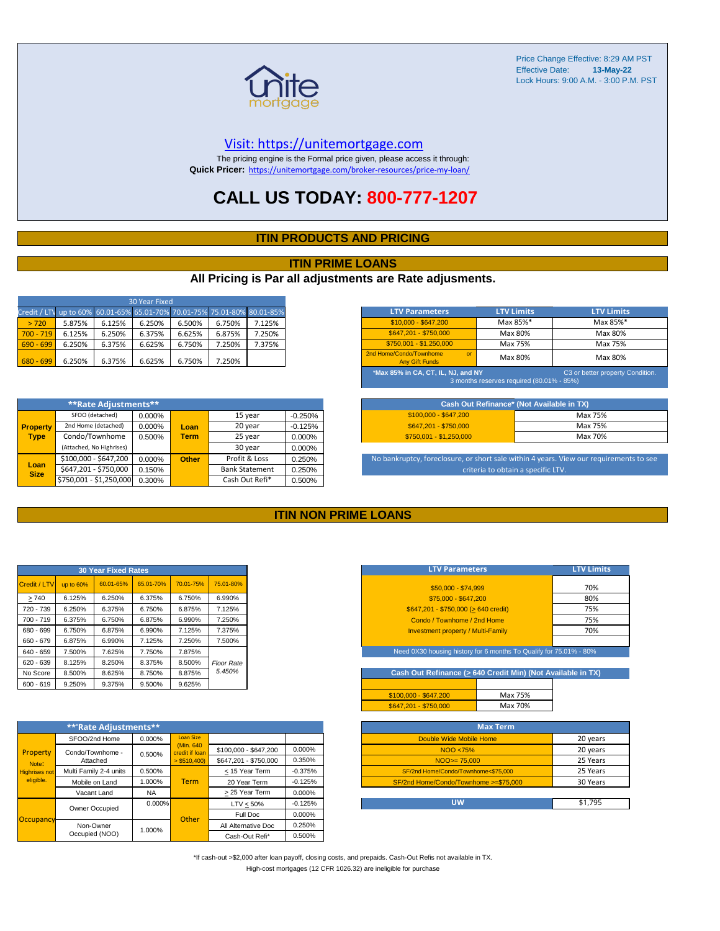

#### [V](https://unitemortgage.com/)isit: https://unitemortgage.com

The pricing engine is the Formal price given, please access it through: **Quick Pricer:** [https://un](https://unitemortgage.com/broker-resources/price-my-loan/)itemortgage.com/broker-resources/price-my-loan/

## **CALL US TODAY: 800-777-1207**

#### **ITIN PRODUCTS AND PRICING**

#### **ITIN PRIME LOANS**

#### **All Pricing is Par all adjustments are Rate adjusments.**

| 30 Year Fixed                                                            |        |        |        |        |        |        |  |  |  |  |
|--------------------------------------------------------------------------|--------|--------|--------|--------|--------|--------|--|--|--|--|
| Credit / LTV up to 60% 60.01-65% 65.01-70% 70.01-75% 75.01-80% 80.01-85% |        |        |        |        |        |        |  |  |  |  |
| > 720                                                                    | 5.875% | 6.125% | 6.250% | 6.500% | 6.750% | 7.125% |  |  |  |  |
| $700 - 719$                                                              | 6.125% | 6.250% | 6.375% | 6.625% | 6.875% | 7.250% |  |  |  |  |
| $690 - 699$                                                              | 6.250% | 6.375% | 6.625% | 6.750% | 7.250% | 7.375% |  |  |  |  |
| $680 - 699$                                                              | 6.250% | 6.375% | 6.625% | 6.750% | 7.250% |        |  |  |  |  |

|                     | **Rate Adjustments**     |        |              |                       |           |
|---------------------|--------------------------|--------|--------------|-----------------------|-----------|
|                     | SFOO (detached)          | 0.000% |              | 15 year               | $-0.250%$ |
| <b>Property</b>     | 2nd Home (detached)      | 0.000% | Loan         | 20 year               | $-0.125%$ |
| <b>Type</b>         | Condo/Townhome           | 0.500% | <b>Term</b>  | 25 year               | 0.000%    |
|                     | (Attached, No Highrises) |        |              | 30 year               | 0.000%    |
|                     | \$100,000 - \$647,200    | 0.000% | <b>Other</b> | Profit & Loss         | 0.250%    |
| Loan<br><b>Size</b> | \$647,201 - \$750,000    | 0.150% |              | <b>Bank Statement</b> | 0.250%    |
|                     | \$750,001 - \$1,250,000  | 0.300% |              | Cash Out Refi*        | 0.500%    |

| <b>LTV Parameters</b>                                        | <b>LTV Limits</b>                         | <b>LTV Limits</b>                |
|--------------------------------------------------------------|-------------------------------------------|----------------------------------|
| \$10,000 - \$647,200                                         | Max 85%*                                  | Max 85%*                         |
| \$647.201 - \$750.000                                        | Max 80%                                   | Max 80%                          |
| \$750.001 - \$1.250.000                                      | Max 75%                                   | Max 75%                          |
| 2nd Home/Condo/Townhome<br>$\alpha$<br><b>Any Gift Funds</b> | Max 80%                                   | Max 80%                          |
| *Max 85% in CA, CT, IL, NJ, and NY                           | 3 months reserves required (80.01% - 85%) | C3 or better property Condition. |

|                         | Cash Out Refinance* (Not Available in TX) |
|-------------------------|-------------------------------------------|
| $$100.000 - $647.200$   | Max 75%                                   |
| \$647.201 - \$750.000   | Max 75%                                   |
| $$750,001 - $1,250,000$ | Max 70%                                   |

No bankruptcy, foreclosure, or short sale within 4 years. View our requirements to see criteria to obtain a specific LTV.

#### **ITIN NON PRIME LOANS**

| <b>30 Year Fixed Rates</b> |           |           |           |           |                   |  |  |  |  |
|----------------------------|-----------|-----------|-----------|-----------|-------------------|--|--|--|--|
| Credit / LTV               | up to 60% | 60.01-65% | 65.01-70% | 70.01-75% | 75.01-80%         |  |  |  |  |
| >740                       | 6.125%    | 6.250%    | 6.375%    | 6.750%    | 6.990%            |  |  |  |  |
| 720 - 739                  | 6.250%    | 6.375%    | 6.750%    | 6.875%    | 7.125%            |  |  |  |  |
| $700 - 719$                | 6.375%    | 6.750%    | 6.875%    | 6.990%    | 7.250%            |  |  |  |  |
| 680 - 699                  | 6.750%    | 6.875%    | 6.990%    | 7.125%    | 7.375%            |  |  |  |  |
| 660 - 679                  | 6.875%    | 6.990%    | 7.125%    | 7.250%    | 7.500%            |  |  |  |  |
| 640 - 659                  | 7.500%    | 7.625%    | 7.750%    | 7.875%    |                   |  |  |  |  |
| $620 - 639$                | 8.125%    | 8.250%    | 8.375%    | 8.500%    | <b>Floor Rate</b> |  |  |  |  |
| No Score                   | 8.500%    | 8.625%    | 8.750%    | 8.875%    | 5.450%            |  |  |  |  |
| $600 - 619$                | 9.250%    | 9.375%    | 9.500%    | 9.625%    |                   |  |  |  |  |

|                                                        | **'Rate Adjustments**  |           |                              |                       |           |
|--------------------------------------------------------|------------------------|-----------|------------------------------|-----------------------|-----------|
|                                                        | SFOO/2nd Home          | 0.000%    | <b>Loan Size</b>             |                       |           |
| Property<br>Note:<br><b>Highrises not</b><br>eligible. | Condo/Townhome -       | 0.500%    | (Min. 640)<br>credit if Ioan | \$100,000 - \$647,200 | 0.000%    |
|                                                        | Attached               |           | $>$ \$510,400)               | \$647,201 - \$750,000 | 0.350%    |
|                                                        | Multi Family 2-4 units | 0.500%    |                              | < 15 Year Term        | $-0.375%$ |
|                                                        | Mobile on Land         | 1.000%    | Term                         | 20 Year Term          | $-0.125%$ |
|                                                        | Vacant Land            | <b>NA</b> |                              | > 25 Year Term        | 0.000%    |
|                                                        | Owner Occupied         | $0.000\%$ |                              | $LTV < 50\%$          | $-0.125%$ |
| Occupancy                                              |                        |           | Other                        | Full Doc              | 0.000%    |
|                                                        | Non-Owner              | 1.000%    |                              | All Alternative Doc   | 0.250%    |
|                                                        | Occupied (NOO)         |           |                              | Cash-Out Refi*        | 0.500%    |

| <b>LTV Parameters</b>                     | <b>LTV Limits</b> |  |  |  |
|-------------------------------------------|-------------------|--|--|--|
| \$50,000 - \$74,999                       | 70%               |  |  |  |
| \$75,000 - \$647,200                      | 80%               |  |  |  |
| \$647,201 - \$750,000 (> 640 credit)      | 75%               |  |  |  |
| Condo / Townhome / 2nd Home               | 75%               |  |  |  |
| <b>Investment property / Multi-Family</b> | 70%               |  |  |  |
|                                           |                   |  |  |  |

Need 0X30 housing history for 6 months To Qualify for 75.01% - 80

**Cash Out Refinance (> 640 Credit Min) (Not Available in TX)**

| \$100.000 - \$647.200 | Max 75% |
|-----------------------|---------|
| \$647.201 - \$750.000 | Max 70% |
|                       |         |

| <b>Max Term</b>                       |          |
|---------------------------------------|----------|
| Double Wide Mobile Home               | 20 years |
| NOO <75%                              | 20 years |
| $NOO > = 75.000$                      | 25 Years |
| SF/2nd Home/Condo/Townhome<\$75,000   | 25 Years |
| SF/2nd Home/Condo/Townhome >=\$75,000 | 30 Years |
|                                       |          |
| UW                                    | \$1.795  |

\*If cash-out >\$2,000 after loan payoff, closing costs, and prepaids. Cash-Out Refis not available in TX. High-cost mortgages (12 CFR 1026.32) are ineligible for purchase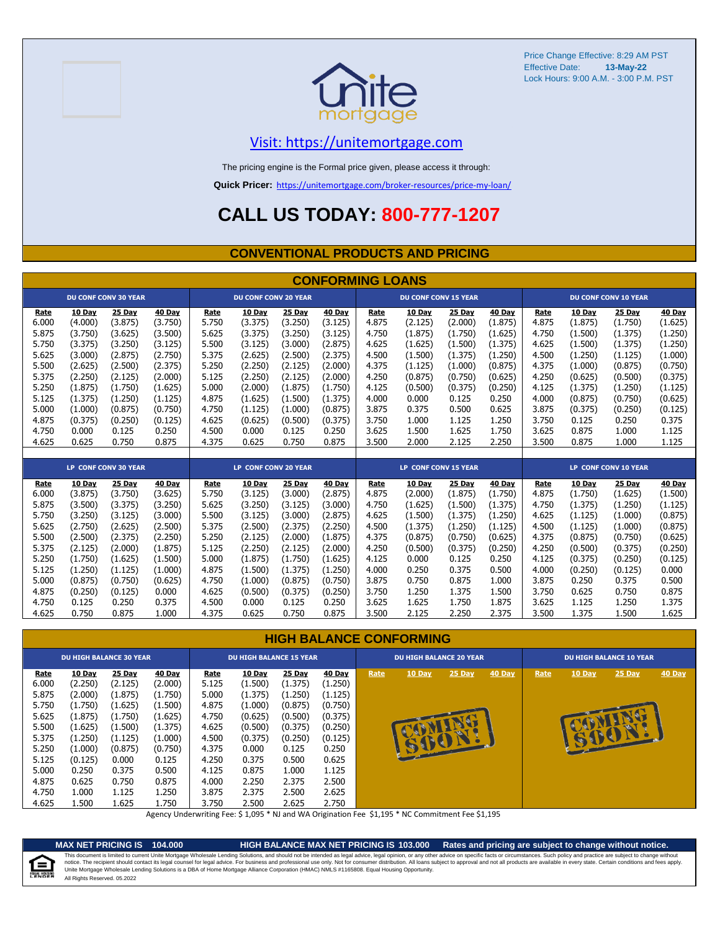



### [V](https://unitemortgage.com/)isit: https://unitemortgage.com

The pricing engine is the Formal price given, please access it through:

**Quick Pricer:** [https://un](https://unitemortgage.com/broker-resources/price-my-loan/)itemortgage.com/broker-resources/price-my-loan/

# **CALL US TODAY: 800-777-1207**

#### **CONVENTIONAL PRODUCTS AND PRICING**

|       | <b>CONFORMING LOANS</b> |                             |         |                      |                             |         |                             |       |                             |                             |         |       |         |                             |         |
|-------|-------------------------|-----------------------------|---------|----------------------|-----------------------------|---------|-----------------------------|-------|-----------------------------|-----------------------------|---------|-------|---------|-----------------------------|---------|
|       |                         | <b>DU CONF CONV 30 YEAR</b> |         |                      | <b>DU CONF CONV 20 YEAR</b> |         |                             |       | <b>DU CONF CONV 15 YEAR</b> |                             |         |       |         | <b>DU CONF CONV 10 YEAR</b> |         |
| Rate  | 10 Day                  | 25 Day                      | 40 Day  | Rate                 | 10 Day                      | 25 Day  | 40 Day                      | Rate  | 10 Day                      | 25 Day                      | 40 Day  | Rate  | 10 Day  | 25 Day                      | 40 Day  |
| 6.000 | (4.000)                 | (3.875)                     | (3.750) | 5.750                | (3.375)                     | (3.250) | (3.125)                     | 4.875 | (2.125)                     | (2.000)                     | (1.875) | 4.875 | (1.875) | (1.750)                     | (1.625) |
| 5.875 | (3.750)                 | (3.625)                     | (3.500) | 5.625                | (3.375)                     | (3.250) | (3.125)                     | 4.750 | (1.875)                     | (1.750)                     | (1.625) | 4.750 | (1.500) | (1.375)                     | (1.250) |
| 5.750 | (3.375)                 | (3.250)                     | (3.125) | 5.500                | (3.125)                     | (3.000) | (2.875)                     | 4.625 | (1.625)                     | (1.500)                     | (1.375) | 4.625 | (1.500) | (1.375)                     | (1.250) |
| 5.625 | (3.000)                 | (2.875)                     | (2.750) | 5.375                | (2.625)                     | (2.500) | (2.375)                     | 4.500 | (1.500)                     | (1.375)                     | (1.250) | 4.500 | (1.250) | (1.125)                     | (1.000) |
| 5.500 | (2.625)                 | (2.500)                     | (2.375) | 5.250                | (2.250)                     | (2.125) | (2.000)                     | 4.375 | (1.125)                     | (1.000)                     | (0.875) | 4.375 | (1.000) | (0.875)                     | (0.750) |
| 5.375 | (2.250)                 | (2.125)                     | (2.000) | 5.125                | (2.250)                     | (2.125) | (2.000)                     | 4.250 | (0.875)                     | (0.750)                     | (0.625) | 4.250 | (0.625) | (0.500)                     | (0.375) |
| 5.250 | (1.875)                 | (1.750)                     | (1.625) | 5.000                | (2.000)                     | (1.875) | (1.750)                     | 4.125 | (0.500)                     | (0.375)                     | (0.250) | 4.125 | (1.375) | (1.250)                     | (1.125) |
| 5.125 | (1.375)                 | (1.250)                     | (1.125) | 4.875                | (1.625)                     | (1.500) | (1.375)                     | 4.000 | 0.000                       | 0.125                       | 0.250   | 4.000 | (0.875) | (0.750)                     | (0.625) |
| 5.000 | (1.000)                 | (0.875)                     | (0.750) | 4.750                | (1.125)                     | (1.000) | (0.875)                     | 3.875 | 0.375                       | 0.500                       | 0.625   | 3.875 | (0.375) | (0.250)                     | (0.125) |
| 4.875 | (0.375)                 | (0.250)                     | (0.125) | 4.625                | (0.625)                     | (0.500) | (0.375)                     | 3.750 | 1.000                       | 1.125                       | 1.250   | 3.750 | 0.125   | 0.250                       | 0.375   |
| 4.750 | 0.000                   | 0.125                       | 0.250   | 4.500                | 0.000                       | 0.125   | 0.250                       | 3.625 | 1.500                       | 1.625                       | 1.750   | 3.625 | 0.875   | 1.000                       | 1.125   |
| 4.625 | 0.625                   | 0.750                       | 0.875   | 4.375                | 0.625                       | 0.750   | 0.875                       | 3.500 | 2.000                       | 2.125                       | 2.250   | 3.500 | 0.875   | 1.000                       | 1.125   |
|       |                         |                             |         |                      |                             |         |                             |       |                             |                             |         |       |         |                             |         |
|       |                         | LP CONF CONV 30 YEAR        |         | LP CONF CONV 20 YEAR |                             |         | <b>LP CONF CONV 15 YEAR</b> |       |                             | <b>LP CONF CONV 10 YEAR</b> |         |       |         |                             |         |
| Rate  | 10 Day                  | 25 Day                      | 40 Day  | Rate                 | 10 Day                      | 25 Day  | 40 Dav                      | Rate  | 10 Day                      | 25 Day                      | 40 Day  | Rate  | 10 Day  | 25 Day                      | 40 Day  |
| 6.000 | (3.875)                 | (3.750)                     | (3.625) | 5.750                | (3.125)                     | (3.000) | (2.875)                     | 4.875 | (2.000)                     | (1.875)                     | (1.750) | 4.875 | (1.750) | (1.625)                     | (1.500) |
| 5.875 | (3.500)                 | (3.375)                     | (3.250) | 5.625                | (3.250)                     | (3.125) | (3.000)                     | 4.750 | (1.625)                     | (1.500)                     | (1.375) | 4.750 | (1.375) | (1.250)                     | (1.125) |
| 5.750 | (3.250)                 | (3.125)                     | (3.000) | 5.500                | (3.125)                     | (3.000) | (2.875)                     | 4.625 | (1.500)                     | (1.375)                     | (1.250) | 4.625 | (1.125) | (1.000)                     | (0.875) |
| 5.625 | (2.750)                 | (2.625)                     | (2.500) | 5.375                | (2.500)                     | (2.375) | (2.250)                     | 4.500 | (1.375)                     | (1.250)                     | (1.125) | 4.500 | (1.125) | (1.000)                     | (0.875) |
| 5.500 | (2.500)                 | (2.375)                     | (2.250) | 5.250                | (2.125)                     | (2.000) | (1.875)                     | 4.375 | (0.875)                     | (0.750)                     | (0.625) | 4.375 | (0.875) | (0.750)                     | (0.625) |
| 5.375 | (2.125)                 | (2.000)                     | (1.875) | 5.125                | (2.250)                     | (2.125) | (2.000)                     | 4.250 | (0.500)                     | (0.375)                     | (0.250) | 4.250 | (0.500) | (0.375)                     | (0.250) |
| 5.250 | (1.750)                 | (1.625)                     | (1.500) | 5.000                | (1.875)                     | (1.750) | (1.625)                     | 4.125 | 0.000                       | 0.125                       | 0.250   | 4.125 | (0.375) | (0.250)                     | (0.125) |
| 5.125 | (1.250)                 | (1.125)                     | (1.000) | 4.875                | (1.500)                     | (1.375) | (1.250)                     | 4.000 | 0.250                       | 0.375                       | 0.500   | 4.000 | (0.250) | (0.125)                     | 0.000   |
| 5.000 | (0.875)                 | (0.750)                     | (0.625) | 4.750                | (1.000)                     | (0.875) | (0.750)                     | 3.875 | 0.750                       | 0.875                       | 1.000   | 3.875 | 0.250   | 0.375                       | 0.500   |
| 4.875 | (0.250)                 | (0.125)                     | 0.000   | 4.625                | (0.500)                     | (0.375) | (0.250)                     | 3.750 | 1.250                       | 1.375                       | 1.500   | 3.750 | 0.625   | 0.750                       | 0.875   |
| 4.750 | 0.125                   | 0.250                       | 0.375   | 4.500                | 0.000                       | 0.125   | 0.250                       | 3.625 | 1.625                       | 1.750                       | 1.875   | 3.625 | 1.125   | 1.250                       | 1.375   |
| 4.625 | 0.750                   | 0.875                       | 1.000   | 4.375                | 0.625                       | 0.750   | 0.875                       | 3.500 | 2.125                       | 2.250                       | 2.375   | 3.500 | 1.375   | 1.500                       | 1.625   |

#### **HIGH BALANCE CONFORMING**

| <b>DU HIGH BALANCE 30 YEAR</b>                                                                        |                                                                                                                  |                                                                                                                |                                                                                                                       | <b>DU HIGH BALANCE 15 YEAR</b>                                                                        |                                                                                                              |                                                                                                                     | <b>DU HIGH BALANCE 20 YEAR</b>                                                                               |      |               | <b>DU HIGH BALANCE 10 YEAR</b> |        |      |               |          |               |
|-------------------------------------------------------------------------------------------------------|------------------------------------------------------------------------------------------------------------------|----------------------------------------------------------------------------------------------------------------|-----------------------------------------------------------------------------------------------------------------------|-------------------------------------------------------------------------------------------------------|--------------------------------------------------------------------------------------------------------------|---------------------------------------------------------------------------------------------------------------------|--------------------------------------------------------------------------------------------------------------|------|---------------|--------------------------------|--------|------|---------------|----------|---------------|
| <b>Rate</b><br>6.000<br>5.875<br>5.750<br>5.625<br>5.500<br>5.375<br>5.250<br>5.125<br>5.000<br>4.875 | 10 Day<br>(2.250)<br>(2.000)<br>(1.750)<br>(1.875)<br>(1.625)<br>(1.250)<br>(1.000)<br>(0.125)<br>0.250<br>0.625 | 25 Day<br>(2.125)<br>(1.875)<br>(1.625)<br>(1.750)<br>(1.500)<br>(1.125)<br>(0.875)<br>0.000<br>0.375<br>0.750 | <b>40 Day</b><br>(2.000)<br>(1.750)<br>(1.500)<br>(1.625)<br>(1.375)<br>(1.000)<br>(0.750)<br>0.125<br>0.500<br>0.875 | <b>Rate</b><br>5.125<br>5.000<br>4.875<br>4.750<br>4.625<br>4.500<br>4.375<br>4.250<br>4.125<br>4.000 | 10 Day<br>(1.500)<br>(1.375)<br>(1.000)<br>(0.625)<br>(0.500)<br>(0.375)<br>0.000<br>0.375<br>0.875<br>2.250 | <b>25 Day</b><br>(1.375)<br>(1.250)<br>(0.875)<br>(0.500)<br>(0.375)<br>(0.250)<br>0.125<br>0.500<br>1.000<br>2.375 | 40 Day<br>(1.250)<br>(1.125)<br>(0.750)<br>(0.375)<br>(0.250)<br>(0.125)<br>0.250<br>0.625<br>1.125<br>2.500 | Rate | <b>10 Day</b> | $25$ Day<br>W                  | 40 Day | Rate | <b>10 Day</b> | $25$ Day | <b>40 Day</b> |
| 4.750<br>4.625                                                                                        | 1.000<br>L.500                                                                                                   | 1.125<br>1.625                                                                                                 | 1.250<br>1.750                                                                                                        | 3.875<br>3.750                                                                                        | 2.375<br>2.500                                                                                               | 2.500<br>2.625                                                                                                      | 2.625<br>2.750                                                                                               |      |               |                                |        |      |               |          |               |

Agency Underwriting Fee: \$ 1,095 \* NJ and WA Origination Fee \$1,195 \* NC Commitment Fee \$1,195



**MAX NET PRICING IS 104.000 HIGH BALANCE MAX NET PRICING IS 103.000 Rates and pricing are subject to change without notice.** All Rights Reserved. 05.2022 This document is limited to current Unite Mortgage Wholesale Lending Solutions, and should not be intended as legal advice, legal opinion, or any other advice on specific facts or circumstances. Such policy and practice ar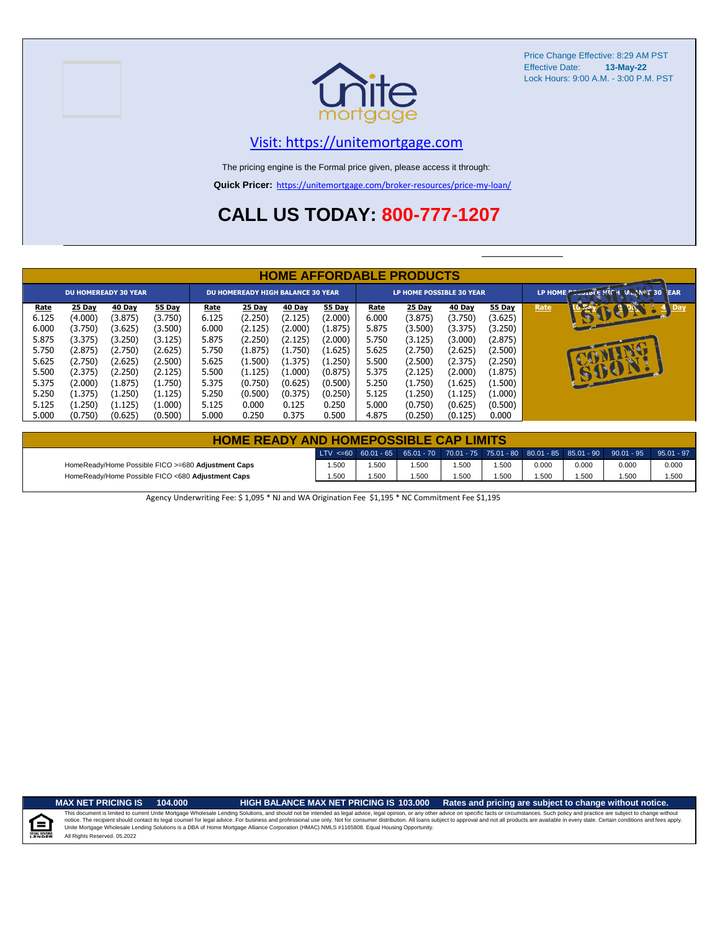



#### [V](https://unitemortgage.com/)isit: https://unitemortgage.com

The pricing engine is the Formal price given, please access it through:

**Quick Pricer:** [https://un](https://unitemortgage.com/broker-resources/price-my-loan/)itemortgage.com/broker-resources/price-my-loan/

# **CALL US TODAY: 800-777-1207**

|                                                                                                | <b>HOME AFFORDABLE PRODUCTS</b>                                                                                             |                                                                                                                      |                                                                                                                      |                                                                                                |                                                                                                                         |                                                                                                                  |                                                                                                                  |                                                                                                |                                                                                                                             |                                                                                                                      |                                                                                                                    |      |                             |
|------------------------------------------------------------------------------------------------|-----------------------------------------------------------------------------------------------------------------------------|----------------------------------------------------------------------------------------------------------------------|----------------------------------------------------------------------------------------------------------------------|------------------------------------------------------------------------------------------------|-------------------------------------------------------------------------------------------------------------------------|------------------------------------------------------------------------------------------------------------------|------------------------------------------------------------------------------------------------------------------|------------------------------------------------------------------------------------------------|-----------------------------------------------------------------------------------------------------------------------------|----------------------------------------------------------------------------------------------------------------------|--------------------------------------------------------------------------------------------------------------------|------|-----------------------------|
| <b>DU HOMEREADY 30 YEAR</b>                                                                    |                                                                                                                             |                                                                                                                      |                                                                                                                      | <b>DU HOMEREADY HIGH BALANCE 30 YEAR</b>                                                       |                                                                                                                         |                                                                                                                  | <b>LP HOME POSSIBLE 30 YEAR</b>                                                                                  |                                                                                                |                                                                                                                             |                                                                                                                      | LP HOME COOLDLE PICH MANNET 30 TEAR                                                                                |      |                             |
| Rate<br>6.125<br>6.000<br>5.875<br>5.750<br>5.625<br>5.500<br>5.375<br>5.250<br>5.125<br>5.000 | <b>25 Day</b><br>(4.000)<br>(3.750)<br>(3.375)<br>(2.875)<br>(2.750)<br>(2.375)<br>(2.000)<br>(1.375)<br>(1.250)<br>(0.750) | 40 Day<br>(3.875)<br>(3.625)<br>(3.250)<br>(2.750)<br>(2.625)<br>(2.250)<br>(1.875)<br>(1.250)<br>(1.125)<br>(0.625) | 55 Day<br>(3.750)<br>(3.500)<br>(3.125)<br>(2.625)<br>(2.500)<br>(2.125)<br>(1.750)<br>(1.125)<br>(1.000)<br>(0.500) | Rate<br>6.125<br>6.000<br>5.875<br>5.750<br>5.625<br>5.500<br>5.375<br>5.250<br>5.125<br>5.000 | <b>25 Day</b><br>(2.250)<br>(2.125)<br>(2.250)<br>(1.875)<br>(1.500)<br>(1.125)<br>(0.750)<br>(0.500)<br>0.000<br>0.250 | 40 Day<br>(2.125)<br>(2.000)<br>(2.125)<br>(1.750)<br>(1.375)<br>(1.000)<br>(0.625)<br>(0.375)<br>0.125<br>0.375 | 55 Day<br>(2.000)<br>(1.875)<br>(2.000)<br>(1.625)<br>(1.250)<br>(0.875)<br>(0.500)<br>(0.250)<br>0.250<br>0.500 | Rate<br>6.000<br>5.875<br>5.750<br>5.625<br>5.500<br>5.375<br>5.250<br>5.125<br>5.000<br>4.875 | <b>25 Day</b><br>(3.875)<br>(3.500)<br>(3.125)<br>(2.750)<br>(2.500)<br>(2.125)<br>(1.750)<br>(1.250)<br>(0.750)<br>(0.250) | 40 Day<br>(3.750)<br>(3.375)<br>(3.000)<br>(2.625)<br>(2.375)<br>(2.000)<br>(1.625)<br>(1.125)<br>(0.625)<br>(0.125) | 55 Day<br>(3.625)<br>(3.250)<br>(2.875)<br>(2.500)<br>(2.250)<br>(1.875)<br>(1.500)<br>(1.000)<br>(0.500)<br>0.000 | Rate | <b>EDIT</b><br>Day<br>15001 |

| <b>HOME READY AND HOMEPOSSIBLE CAP LIMITS</b>      |      |       |                                                                                       |      |      |       |       |       |              |  |
|----------------------------------------------------|------|-------|---------------------------------------------------------------------------------------|------|------|-------|-------|-------|--------------|--|
|                                                    |      |       | LTV <=60 60.01 - 65 65.01 - 70 70.01 - 75 75.01 - 80 80.01 - 85 85.01 - 90 90.01 - 95 |      |      |       |       |       | $95.01 - 97$ |  |
| HomeReady/Home Possible FICO >=680 Adjustment Caps | .500 | 1.500 | .500                                                                                  | .500 | .500 | 0.000 | 0.000 | 0.000 | 0.000        |  |
| HomeReady/Home Possible FICO <680 Adjustment Caps  | .500 | 1.500 | .500                                                                                  | .500 | .500 | .500  | .500  | 1.500 | 1.500        |  |

Agency Underwriting Fee: \$ 1,095 \* NJ and WA Origination Fee \$1,195 \* NC Commitment Fee \$1,195

E

**MAX NET PRICING IS 104.000 HIGH BALANCE MAX NET PRICING IS 103.000 Rates and pricing are subject to change without notice.**

All Rights Reserved. 05.2022 This document is limited to current Unite Mortgage Wholesale Lending Solutions, and should not be intended as legal advice, legal opinion, or any other advice on specific facts or circumstances. Such policy and practice ar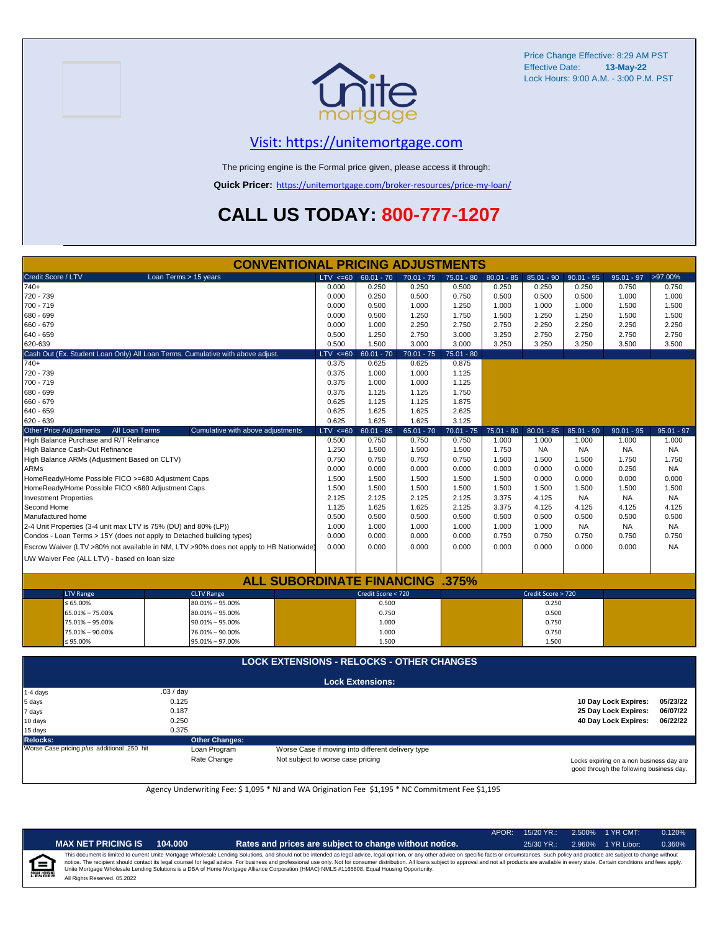

### [V](https://unitemortgage.com/)isit: https://unitemortgage.com

The pricing engine is the Formal price given, please access it through:

**Quick Pricer:** [https://un](https://unitemortgage.com/broker-resources/price-my-loan/)itemortgage.com/broker-resources/price-my-loan/

# **CALL US TODAY: 800-777-1207**

|                                                                 | <b>CONVENTIONAL PRICING ADJUSTMENTS</b>                                                |              |                         |              |              |              |                    |              |                      |              |  |  |  |
|-----------------------------------------------------------------|----------------------------------------------------------------------------------------|--------------|-------------------------|--------------|--------------|--------------|--------------------|--------------|----------------------|--------------|--|--|--|
| Credit Score / LTV                                              | Loan Terms > 15 years                                                                  | $LTV \le 60$ | $60.01 - 70$            | $70.01 - 75$ | $75.01 - 80$ | $80.01 - 85$ | $85.01 - 90$       | $90.01 - 95$ | $95.01 - 97$         | >97.00%      |  |  |  |
| $740+$                                                          |                                                                                        | 0.000        | 0.250                   | 0.250        | 0.500        | 0.250        | 0.250              | 0.250        | 0.750                | 0.750        |  |  |  |
| 720 - 739                                                       |                                                                                        | 0.000        | 0.250                   | 0.500        | 0.750        | 0.500        | 0.500              | 0.500        | 1.000                | 1.000        |  |  |  |
| 700 - 719                                                       |                                                                                        | 0.000        | 0.500                   | 1.000        | 1.250        | 1.000        | 1.000              | 1.000        | 1.500                | 1.500        |  |  |  |
| 680 - 699                                                       |                                                                                        | 0.000        | 0.500                   | 1.250        | 1.750        | 1.500        | 1.250              | 1.250        | 1.500                | 1.500        |  |  |  |
| 660 - 679                                                       |                                                                                        | 0.000        | 1.000                   | 2.250        | 2.750        | 2.750        | 2.250              | 2.250        | 2.250                | 2.250        |  |  |  |
| 640 - 659                                                       | 0.500                                                                                  | 1.250        | 2.750                   | 3.000        | 3.250        | 2.750        | 2.750              | 2.750        | 2.750                |              |  |  |  |
| 620-639                                                         |                                                                                        | 0.500        | 1.500                   | 3.000        | 3.000        | 3.250        | 3.250              | 3.250        | 3.500                | 3.500        |  |  |  |
|                                                                 | Cash Out (Ex. Student Loan Only) All Loan Terms. Cumulative with above adjust.         | $LTV \le 60$ | $60.01 - 70$            | $70.01 - 75$ | $75.01 - 80$ |              |                    |              |                      |              |  |  |  |
| $740+$                                                          |                                                                                        | 0.375        | 0.625                   | 0.625        | 0.875        |              |                    |              |                      |              |  |  |  |
| 720 - 739                                                       |                                                                                        | 0.375        | 1.000                   | 1.000        | 1.125        |              |                    |              |                      |              |  |  |  |
| 700 - 719                                                       |                                                                                        | 0.375        | 1.000                   | 1.000        | 1.125        |              |                    |              |                      |              |  |  |  |
| 680 - 699                                                       |                                                                                        | 0.375        | 1.125                   | 1.125        | 1.750        |              |                    |              |                      |              |  |  |  |
| 660 - 679                                                       |                                                                                        | 0.625        | 1.125                   | 1.125        | 1.875        |              |                    |              |                      |              |  |  |  |
| 640 - 659                                                       | 0.625                                                                                  | 1.625        | 1.625                   | 2.625        |              |              |                    |              |                      |              |  |  |  |
| 620 - 639                                                       |                                                                                        | 0.625        | 1.625                   | 1.625        | 3.125        |              |                    |              |                      |              |  |  |  |
| All Loan Terms<br><b>Other Price Adjustments</b>                | Cumulative with above adjustments                                                      | $LTV \le 60$ | $60.01 - 65$            | $65.01 - 70$ | $70.01 - 75$ | $75.01 - 80$ | $80.01 - 85$       | $85.01 - 90$ | $90.01 - 95$         | $95.01 - 97$ |  |  |  |
| High Balance Purchase and R/T Refinance                         |                                                                                        | 0.500        | 0.750                   | 0.750        | 0.750        | 1.000        | 1.000              | 1.000        | 1.000                | 1.000        |  |  |  |
| High Balance Cash-Out Refinance                                 |                                                                                        |              | 1.500                   | 1.500        | 1.500        | 1.750        | <b>NA</b>          | <b>NA</b>    | <b>NA</b>            | <b>NA</b>    |  |  |  |
| High Balance ARMs (Adjustment Based on CLTV)                    |                                                                                        |              | 0.750                   | 0.750        | 0.750        | 1.500        | 1.500              | 1.500        | 1.750                | 1.750        |  |  |  |
| <b>ARMs</b>                                                     | 0.000                                                                                  | 0.000        | 0.000                   | 0.000        | 0.000        | 0.000        | 0.000              | 0.250        | <b>NA</b>            |              |  |  |  |
| HomeReady/Home Possible FICO >=680 Adjustment Caps              |                                                                                        | 1.500        | 1.500                   | 1.500        | 1.500        | 1.500        | 0.000              | 0.000        | 0.000                | 0.000        |  |  |  |
| HomeReady/Home Possible FICO <680 Adjustment Caps               |                                                                                        | 1.500        | 1.500                   | 1.500        | 1.500        | 1.500        | 1.500              | 1.500        | 1.500                | 1.500        |  |  |  |
| <b>Investment Properties</b>                                    |                                                                                        | 2.125        | 2.125                   | 2.125        | 2.125        | 3.375        | 4.125              | <b>NA</b>    | <b>NA</b>            | <b>NA</b>    |  |  |  |
| Second Home                                                     |                                                                                        | 1.125        | 1.625                   | 1.625        | 2.125        | 3.375        | 4.125              | 4.125        | 4.125                | 4.125        |  |  |  |
| Manufactured home                                               |                                                                                        | 0.500        | 0.500                   | 0.500        | 0.500        | 0.500        | 0.500              | 0.500        | 0.500                | 0.500        |  |  |  |
| 2-4 Unit Properties (3-4 unit max LTV is 75% (DU) and 80% (LP)) |                                                                                        | 1.000        | 1.000                   | 1.000        | 1.000        | 1.000        | 1.000              | <b>NA</b>    | <b>NA</b>            | <b>NA</b>    |  |  |  |
|                                                                 | Condos - Loan Terms > 15Y (does not apply to Detached building types)                  | 0.000        | 0.000                   | 0.000        | 0.000        | 0.750        | 0.750              | 0.750        | 0.750                | 0.750        |  |  |  |
|                                                                 | Escrow Waiver (LTV >80% not available in NM, LTV >90% does not apply to HB Nationwide) | 0.000        | 0.000                   | 0.000        | 0.000        | 0.000        | 0.000              | 0.000        | 0.000                | <b>NA</b>    |  |  |  |
|                                                                 |                                                                                        |              |                         |              |              |              |                    |              |                      |              |  |  |  |
| UW Waiver Fee (ALL LTV) - based on loan size                    |                                                                                        |              |                         |              |              |              |                    |              |                      |              |  |  |  |
|                                                                 | <b>ALL SUBORDINATE FINANCING .375%</b>                                                 |              |                         |              |              |              |                    |              |                      |              |  |  |  |
| <b>LTV Range</b>                                                | <b>CLTV Range</b>                                                                      |              | Credit Score < 720      |              |              |              | Credit Score > 720 |              |                      |              |  |  |  |
| $\leq 65.00\%$                                                  | $80.01\% - 95.00\%$                                                                    |              | 0.500                   |              |              |              | 0.250              |              |                      |              |  |  |  |
| 65.01% - 75.00%                                                 | $80.01\% - 95.00\%$                                                                    |              | 0.750                   |              |              |              | 0.500              |              |                      |              |  |  |  |
| 75.01% - 95.00%                                                 | $90.01\% - 95.00\%$                                                                    |              | 1.000                   |              |              |              | 0.750              |              |                      |              |  |  |  |
| 75.01% - 90.00%                                                 | 76.01% - 90.00%                                                                        |              | 1.000                   |              |              |              | 0.750              |              |                      |              |  |  |  |
| ≤ 95.00%                                                        | $95.01\% - 97.00\%$                                                                    |              | 1.500                   |              |              |              | 1.500              |              |                      |              |  |  |  |
|                                                                 |                                                                                        |              |                         |              |              |              |                    |              |                      |              |  |  |  |
|                                                                 | <b>LOCK EXTENSIONS - RELOCKS - OTHER CHANGES</b>                                       |              |                         |              |              |              |                    |              |                      |              |  |  |  |
|                                                                 |                                                                                        |              |                         |              |              |              |                    |              |                      |              |  |  |  |
|                                                                 |                                                                                        |              | <b>Lock Extensions:</b> |              |              |              |                    |              |                      |              |  |  |  |
| 1-4 days                                                        | .03/day                                                                                |              |                         |              |              |              |                    |              |                      |              |  |  |  |
| 5 days                                                          | 0.125                                                                                  |              |                         |              |              |              |                    |              | 10 Day Lock Expires: | 05/23/22     |  |  |  |
| 7 days                                                          | 0.187                                                                                  |              |                         |              |              |              |                    |              | 25 Day Lock Expires: | 06/07/22     |  |  |  |
| 10 days                                                         | 0.250                                                                                  |              |                         |              |              |              |                    |              | 40 Day Lock Expires: | 06/22/22     |  |  |  |

| 15 days                                     | 0.375                 |                                                   |                                      |
|---------------------------------------------|-----------------------|---------------------------------------------------|--------------------------------------|
| <b>Relocks:</b>                             | <b>Other Changes:</b> |                                                   |                                      |
| Worse Case pricing plus additional .250 hit | Loan Program          | Worse Case if moving into different delivery type |                                      |
|                                             | Rate Change           | Not subject to worse case pricing                 | Locks expiring on a non busines<br>. |

s day are good through the following business day.

Agency Underwriting Fee: \$ 1,095 \* NJ and WA Origination Fee \$1,195 \* NC Commitment Fee \$1,195

| ñ<br>٠ |
|--------|

| <b>T PRICING IS</b><br>104.000 |  |
|--------------------------------|--|
|--------------------------------|--|

**MAX NET PRICING IS 104.000 Rates and prices are subject to change without notice.** 25/30 YR.: 2.960% 1 YR Libor: 0.360%

APOR: 15/20 YR.: 2.500% 1 YR CMT: 0.120%

All Rights Reserved. 05.2022 This document is limited to current Unite Mortgage Wholesale Lending Solutions, and should not be intended as legal advice, legal opinion, or any other advice on specific facts or circumstances. Such policy and practice ar